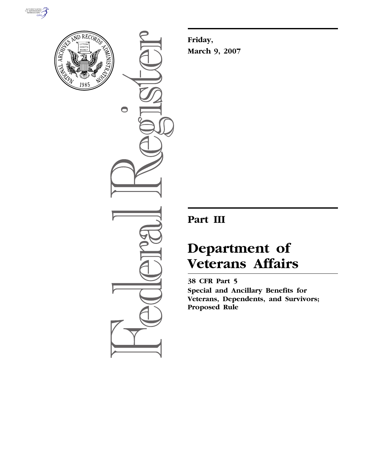



 $\bullet$ 

**Friday, March 9, 2007** 

## **Part III**

# **Department of Veterans Affairs**

**38 CFR Part 5 Special and Ancillary Benefits for Veterans, Dependents, and Survivors; Proposed Rule**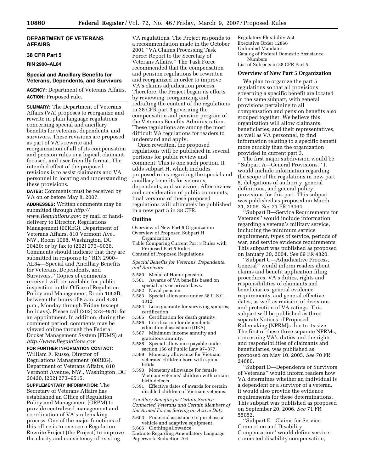## **DEPARTMENT OF VETERANS AFFAIRS**

#### **38 CFR Part 5**

**RIN 2900–AL84** 

## **Special and Ancillary Benefits for Veterans, Dependents, and Survivors**

**AGENCY:** Department of Veterans Affairs. **ACTION:** Proposed rule.

**SUMMARY:** The Department of Veterans Affairs (VA) proposes to reorganize and rewrite in plain language regulations concerning special and ancillary benefits for veterans, dependents, and survivors. These revisions are proposed as part of VA's rewrite and reorganization of all of its compensation and pension rules in a logical, claimantfocused, and user-friendly format. The intended effect of the proposed revisions is to assist claimants and VA personnel in locating and understanding these provisions.

**DATES:** Comments must be received by VA on or before May 8, 2007.

**ADDRESSES:** Written comments may be submitted through *http:// www.Regulations.gov;* by mail or handdelivery to Director, Regulations Management (00REG), Department of Veterans Affairs, 810 Vermont Ave., NW., Room 1068, Washington, DC 20420; or by fax to (202) 273–9026. Comments should indicate that they are submitted in response to ''RIN 2900– AL84—Special and Ancillary Benefits for Veterans, Dependents, and Survivors.'' Copies of comments received will be available for public inspection in the Office of Regulation Policy and Management, Room 1063B, between the hours of 8 a.m. and 4:30 p.m., Monday through Friday (except holidays). Please call (202) 273–9515 for an appointment. In addition, during the comment period, comments may be viewed online through the Federal Docket Management System (FDMS) at *http://www.Regulations.gov.* 

## **FOR FURTHER INFORMATION CONTACT:**  William F. Russo, Director of

Regulations Management (00REG), Department of Veterans Affairs, 810 Vermont Avenue, NW., Washington, DC 20420, (202) 273–9515.

**SUPPLEMENTARY INFORMATION:** The Secretary of Veterans Affairs has established an Office of Regulation Policy and Management (ORPM) to provide centralized management and coordination of VA's rulemaking process. One of the major functions of this office is to oversee a Regulation Rewrite Project (the Project) to improve the clarity and consistency of existing

VA regulations. The Project responds to a recommendation made in the October 2001 ''VA Claims Processing Task Force: Report to the Secretary of Veterans Affairs.'' The Task Force recommended that the compensation and pension regulations be rewritten and reorganized in order to improve VA's claims adjudication process. Therefore, the Project began its efforts by reviewing, reorganizing and redrafting the content of the regulations in 38 CFR part 3 governing the compensation and pension program of the Veterans Benefits Administration. These regulations are among the most difficult VA regulations for readers to understand and apply.

Once rewritten, the proposed regulations will be published in several portions for public review and comment. This is one such portion. It adds subpart H, which includes proposed rules regarding the special and ancillary benefits for veterans, dependents, and survivors. After review and consideration of public comments, final versions of these proposed regulations will ultimately be published in a new part 5 in 38 CFR.

## **Outline**

- Overview of New Part 5 Organization Overview of Proposed Subpart H
- Organization
- Table Comparing Current Part 3 Rules with Proposed Part 5 Rules
- Content of Proposed Regulations

*Special Benefits for Veterans, Dependents, and Survivors* 

- 5.580 Medal of Honor pension.<br>5.581 Awards of VA benefits ba
- Awards of VA benefits based on special acts or private laws.
- 5.582 Naval pension.
- 5.583 Special allowance under 38 U.S.C. 1312.
- 5.584 Loan guaranty for surviving spouses; certification.
- 5.585 Certification for death gratuity.
- 5.586 Certification for dependents'
- educational assistance (DEA). 5.587 Minimum income annuity and gratuitous annuity.
- 5.588 Special allowance payable under section 156 of Public Law 97–377.
- 5.589 Monetary allowance for Vietnam veterans' children born with spina bifida.
- 5.590 Monetary allowance for female Vietnam veterans' children with certain birth defects.
- 5.591 Effective dates of awards for certain disabled children of Vietnam veterans.

*Ancillary Benefits for Certain Service-Connected Veterans and Certain Members of the Armed Forces Serving on Active Duty* 

- 5.603 Financial assistance to purchase a vehicle and adaptive equipment.
- 5.606 Clothing allowance. Endnote Regarding Amendatory Language Paperwork Reduction Act

Regulatory Flexibility Act Executive Order 12866 Unfunded Mandates Catalog of Federal Domestic Assistance Numbers List of Subjects in 38 CFR Part 5

#### **Overview of New Part 5 Organization**

We plan to organize the part 5 regulations so that all provisions governing a specific benefit are located in the same subpart, with general provisions pertaining to all compensation and pension benefits also grouped together. We believe this organization will allow claimants, beneficiaries, and their representatives, as well as VA personnel, to find information relating to a specific benefit more quickly than the organization provided in current part 3.

The first major subdivision would be ''Subpart A—General Provisions.'' It would include information regarding the scope of the regulations in new part 5, delegations of authority, general definitions, and general policy provisions for this part. This subpart was published as proposed on March 31, 2006. *See* 71 FR 16464.

''Subpart B—Service Requirements for Veterans'' would include information regarding a veteran's military service, including the minimum service requirement, types of service, periods of war, and service evidence requirements. This subpart was published as proposed on January 30, 2004. *See* 69 FR 4820.

''Subpart C—Adjudicative Process, General'' would inform readers about claims and benefit application filing procedures, VA's duties, rights and responsibilities of claimants and beneficiaries, general evidence requirements, and general effective dates, as well as revision of decisions and protection of VA ratings. This subpart will be published as three separate Notices of Proposed Rulemaking (NPRM)s due to its size. The first of these three separate NPRMs, concerning VA's duties and the rights and responsibilities of claimants and beneficiaries, was published as proposed on May 10, 2005. *See* 70 FR 24680.

''Subpart D—Dependents or Survivors of Veterans'' would inform readers how VA determines whether an individual is a dependent or a survivor of a veteran. It would also provide the evidence requirements for these determinations. This subpart was published as proposed on September 20, 2006. *See* 71 FR 55052.

''Subpart E—Claims for Service Connection and Disability Compensation'' would define serviceconnected disability compensation,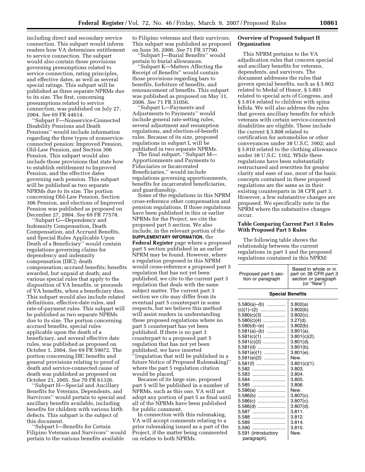including direct and secondary service connection. This subpart would inform readers how VA determines entitlement to service connection. The subpart would also contain those provisions governing presumptions related to service connection, rating principles, and effective dates, as well as several special ratings. This subpart will be published as three separate NPRMs due to its size. The first, concerning presumptions related to service connection, was published on July 27, 2004. *See* 69 FR 44614.

''Subpart F—Nonservice-Connected Disability Pensions and Death Pensions'' would include information regarding the three types of nonserviceconnected pension: Improved Pension, Old-Law Pension, and Section 306 Pension. This subpart would also include those provisions that state how to establish entitlement to Improved Pension, and the effective dates governing each pension. This subpart will be published as two separate NPRMs due to its size. The portion concerning Old-Law Pension, Section 306 Pension, and elections of Improved Pension was published as proposed on December 27, 2004. *See* 69 FR 77578.

''Subpart G—Dependency and Indemnity Compensation, Death Compensation, and Accrued Benefits, and Special Rules Applicable Upon Death of a Beneficiary'' would contain regulations governing claims for dependency and indemnity compensation (DIC); death compensation; accrued benefits; benefits awarded, but unpaid at death; and various special rules that apply to the disposition of VA benefits, or proceeds of VA benefits, when a beneficiary dies. This subpart would also include related definitions, effective-date rules, and rate-of-payment rules. This subpart will be published as two separate NPRMs due to its size. The portion concerning accrued benefits, special rules applicable upon the death of a beneficiary, and several effective date rules, was published as proposed on October 1, 2004. *See* 69 FR 59072. The portion concerning DIC benefits and general provisions relating to proof of death and service-connected cause of death was published as proposed on October 21, 2005. *See* 70 FR 61326.

''Subpart H—Special and Ancillary Benefits for Veterans, Dependents, and Survivors'' would pertain to special and ancillary benefits available, including benefits for children with various birth defects. This subpart is the subject of this document.

''Subpart I—Benefits for Certain Filipino Veterans and Survivors'' would pertain to the various benefits available

to Filipino veterans and their survivors. This subpart was published as proposed on June 30, 2006. *See* 71 FR 37790.

'Subpart J—Burial Benefits'' would pertain to burial allowances.

''Subpart K—Matters Affecting the Receipt of Benefits'' would contain those provisions regarding bars to benefits, forfeiture of benefits, and renouncement of benefits. This subpart was published as proposed on May 31, 2006. *See* 71 FR 31056.

''Subpart L—Payments and Adjustments to Payments'' would include general rate-setting rules, several adjustment and resumption regulations, and election-of-benefit rules. Because of its size, proposed regulations in subpart L will be published in two separate NPRMs.

The final subpart, ''Subpart M— Apportionments and Payments to Fiduciaries or Incarcerated Beneficiaries,'' would include regulations governing apportionments, benefits for incarcerated beneficiaries, and guardianship.

Some of the regulations in this NPRM cross-reference other compensation and pension regulations. If those regulations have been published in this or earlier NPRMs for the Project, we cite the proposed part 5 section. We also include, in the relevant portion of the **SUPPLEMENTARY INFORMATION**, the **Federal Register** page where a proposed part 5 section published in an earlier NPRM may be found. However, where a regulation proposed in this NPRM would cross-reference a proposed part 5 regulation that has not yet been published, we cite to the current part 3 regulation that deals with the same subject matter. The current part 3 section we cite may differ from its eventual part 5 counterpart in some respects, but we believe this method will assist readers in understanding these proposed regulations where no part 5 counterpart has yet been published. If there is no part 3 counterpart to a proposed part 5 regulation that has not yet been published, we have inserted ''[regulation that will be published in a future Notice of Proposed Rulemaking]'' where the part 5 regulation citation would be placed.

Because of its large size, proposed part 5 will be published in a number of NPRMs, such as this one. VA will not adopt any portion of part 5 as final until all of the NPRMs have been published for public comment.

In connection with this rulemaking, VA will accept comments relating to a prior rulemaking issued as a part of the Project, if the matter being commented on relates to both NPRMs.

## **Overview of Proposed Subpart H Organization**

This NPRM pertains to the VA adjudication rules that concern special and ancillary benefits for veterans, dependents, and survivors. The document addresses the rules that govern special benefits, such as § 3.802 related to Medal of Honor, § 3.801 related to special acts of Congress, and § 3.814 related to children with spina bifida. We will also address the rules that govern ancillary benefits for which veterans with certain service-connected disabilities are eligible. These include the current § 3.808 related to certification for automobiles or other conveyances under 38 U.S.C. 3902; and § 3.810 related to the clothing allowance under 38 U.S.C. 1162. While these regulations have been substantially restructured and rewritten for greater clarity and ease of use, most of the basic concepts contained in these proposed regulations are the same as in their existing counterparts in 38 CFR part 3. However, a few substantive changes are proposed. We specifically note in the NPRM where the substantive changes occur.

## **Table Comparing Current Part 3 Rules With Proposed Part 5 Rules**

The following table shows the relationship between the current regulations in part 3 and the proposed regulations contained in this NPRM:

| Proposed part 5 sec-<br>tion or paragraph                                                                                                                                                                                              | Based in whole or in<br>part on 38 CFR part 3<br>section or paragraph<br>(or "New")                                                                                                                                           |
|----------------------------------------------------------------------------------------------------------------------------------------------------------------------------------------------------------------------------------------|-------------------------------------------------------------------------------------------------------------------------------------------------------------------------------------------------------------------------------|
| <b>Special Benefits</b>                                                                                                                                                                                                                |                                                                                                                                                                                                                               |
| 5.580(a)—(b) ……………<br>$(c)(1)$ - (2)<br>$5.580(c)(3)$<br>$5.580(c)(4)$<br>5.580(d)—(e) ……………<br>5.581(a)–(b)<br>5.581(c)(1)<br>$5.581(c)(2)$<br>5.581(d)<br>5.581(e)(1)<br>5.581(e)(2)<br>5.581(f)<br>5.582<br>5.583<br>5.584<br>5.585 | 3.802(a)<br>$3.802(b)$ .<br>$3.802(c)$ .<br>$3.27(d)$ .<br>$3.802(b)$ .<br>$3.801(a)$ .<br>$3.801(c)(2)$ .<br>$3.801(d)$ .<br>$3.801(b)$ .<br>$3.801(e)$ .<br>New.<br>$3.801(c)(1)$ .<br>3.803.<br>3.804.<br>3.805.<br>3.806. |
| 5.586(a)<br>$5.586(b)$<br>5.586(c)<br>5.586(d)<br>5.587<br>5.588<br>5.589                                                                                                                                                              | New.<br>$3.807(c)$ .<br>$3.807(c)$ .<br>$3.807(d)$ .<br>3.811.<br>3.812.<br>3.814.                                                                                                                                            |
| 5.590<br>5.591 (introductory<br>paragraph).                                                                                                                                                                                            | 3.815.<br>New.                                                                                                                                                                                                                |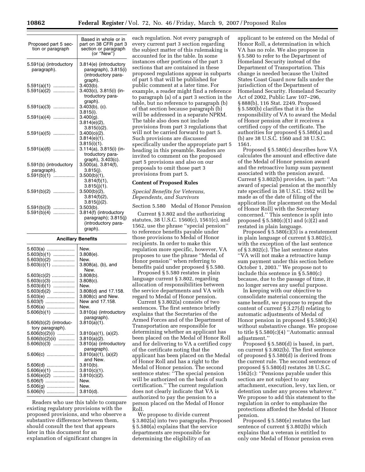| Proposed part 5 sec-<br>tion or paragraph | Based in whole or in<br>part on 38 CFR part 3<br>section or paragraph<br>(or "New") |
|-------------------------------------------|-------------------------------------------------------------------------------------|
| 5.591(a) (introductory<br>paragraph).     | 3.814(e) (introductory<br>paragraph), 3.815(i)<br>(introductory para-               |
| 5.591(a)(1)<br>.                          | graph).<br>$3.403(b)$ .                                                             |
| 5.591(a)(2)<br>.                          | 3.403(c), 3.815(i) (in-<br>troductory para-<br>graph).                              |
| $5.591(a)(3)$                             | $3.403(b)$ , (c).<br>$3.815(i)$ .                                                   |
| $5.591(a)(4)$                             | $3.400(q)$ .<br>$3.814(e)(2)$ ,                                                     |
| $5.591(a)(5)$                             | $3.815(i)(2)$ .<br>$3.400(0)(2)$ .<br>$3.814(e)(1)$ .                               |
| $5.591(a)(6)$                             | $3.815(i)(1)$ .<br>3.114(a), 3.815(i) (in-<br>troductory para-                      |
| 5.591(b) (introductory                    | graph), 3.403(c).<br>$3.500(a)$ , $3.814(f)$ ,                                      |
| paragraph).                               | $3.815(i)$ .                                                                        |
| 5.591(b)(1)<br>.                          | 3.500(b)(1),                                                                        |
|                                           | 3.814(f)(1),<br>$3.815(i)(1)$ .                                                     |
| $5.591(b)(2)$                             | $3.500(b)(2)$ ,<br>$3.814(f)(2)$ ,                                                  |
| 5.591(b)(3)<br>.                          | $3.815(i)(2)$ .<br>$3.503(b)$ .                                                     |
| 5.591(b)(4)<br>.                          | 3.814(f) (introductory<br>paragraph); 3.815(j)<br>(introductory para-<br>graph).    |

#### **Ancillary Benefits**

| $5.603(a)$<br>$5.603(b)(1)$<br>$5.603(b)(2)$<br>$5.603(c)(1)$                                    | New.<br>3.808(e).<br>New.<br>$3.808(a)$ , (b), and<br>New.                                                            |
|--------------------------------------------------------------------------------------------------|-----------------------------------------------------------------------------------------------------------------------|
| $5.603(c)(2)$<br>$5.603(c)(3)$<br>$5.603(d)(1)$<br>$5.603(d)(2)$<br>5.603(e)<br>5.603(f)         | $3.808(b)$ .<br>$3.808(c)$ .<br>New.<br>3.808(d) and 17.158.<br>3.808(c) and New.<br>New and 17.158.                  |
| 5.606(a)<br>$5.606(b)(1)$<br>$5.606(b)(2)$ (introduc-                                            | New.<br>3.810(a) (introductory<br>paragraph).<br>$3.810(a)(1)$ .                                                      |
| tory paragraph).<br>$5.606(b)(2)(i)$<br>$5.606(b)(2)(ii)$<br>$5.606(b)(3)$                       | $3.810(a)(1)$ , (a)(2).<br>$3.810(a)(2)$ .<br>3.810(a) (introductory<br>paragraph).                                   |
| $5.606(c)$<br>$5.606(d)$<br>$5.606(e)(1)$<br>5.606(e)(2)<br>$5.606(f)$<br>$5.606(g)$<br>5.606(h) | 3.810(a)(1), (a)(2)<br>and New.<br>$3.810(b)$ .<br>$3.810(c)(1)$ .<br>$3.810(c)(2)$ .<br>New.<br>New.<br>$3.810(d)$ . |

Readers who use this table to compare existing regulatory provisions with the proposed provisions, and who observe a substantive difference between them, should consult the text that appears later in this document for an explanation of significant changes in

each regulation. Not every paragraph of every current part 3 section regarding the subject matter of this rulemaking is accounted for in the table. In some instances other portions of the part 3 sections that are contained in these proposed regulations appear in subparts of part 5 that will be published for public comment at a later time. For example, a reader might find a reference to paragraph (a) of a part 3 section in the table, but no reference to paragraph (b) of that section because paragraph (b) will be addressed in a separate NPRM. The table also does not include provisions from part 3 regulations that will not be carried forward to part 5. Such provisions are discussed specifically under the appropriate part 5 heading in this preamble. Readers are invited to comment on the proposed part 5 provisions and also on our proposals to omit those part 3 provisions from part 5.

## **Content of Proposed Rules**

*Special Benefits for Veterans, Dependents, and Survivors* 

Section 5.580 Medal of Honor Pension

Current § 3.802 and the authorizing statutes, 38 U.S.C. 1560(c), 1561(c), and 1562, use the phrase ''special pension'' to reference benefits payable under those provisions to Medal of Honor recipients. In order to make this regulation more specific, however, VA proposes to use the phrase ''Medal of Honor pension'' when referring to benefits paid under proposed § 5.580.

Proposed § 5.580 restates in plain language current § 3.802, regarding allocation of responsibilities between the service departments and VA with regard to Medal of Honor pension.

Current § 3.802(a) consists of two sentences. The first sentence briefly explains that the Secretaries of the Armed Forces and of the Department of Transportation are responsible for determining whether an applicant has been placed on the Medal of Honor Roll and for delivering to VA a certified copy of the certificate noting that the applicant has been placed on the Medal of Honor Roll and has a right to the Medal of Honor pension. The second sentence states: "The special pension will be authorized on the basis of such certification.'' The current regulation does not clearly indicate that VA is authorized to pay the pension to a person placed on the Medal of Honor Roll.

We propose to divide current § 3.802(a) into two paragraphs. Proposed § 5.580(a) explains that the service departments are responsible for determining the eligibility of an

applicant to be entered on the Medal of Honor Roll, a determination in which VA has no role. We also propose in § 5.580 to refer to the Department of Homeland Security instead of the Department of Transportation. This change is needed because the United States Coast Guard now falls under the jurisdiction of the Department of Homeland Security. Homeland Security Act of 2002, Public Law 107–296, § 888(b), 116 Stat. 2249. Proposed § 5.580(b) clarifies that it is the responsibility of VA to award the Medal of Honor pension after it receives a certified copy of the certificate. The authorities for proposed § 5.580(a) and (b) are 38 U.S.C. 1560 and 38 U.S.C. 1561.

Proposed § 5.580(c) describes how VA calculates the amount and effective date of the Medal of Honor pension award and the retroactive lump sum payment associated with the pension award. Current § 3.802(b) provides, in part: ''An award of special pension at the monthly rate specified in 38 U.S.C. 1562 will be made as of the date of filing of the application [for placement on the Medal of Honor Roll] with the Secretary concerned.'' This sentence is split into proposed  $\S 5.580(c)(1)$  and  $(c)(2)$  and restated in plain language.

Proposed  $\S 5.580(c)(3)$  is a restatement in plain language of current § 3.802(c), with the exception of the last sentence of § 3.802(c). The last sentence states ''VA will not make a retroactive lump sum payment under this section before October 1, 2003.'' We propose not to include this sentence in § 5.580(c) because, due to the passage of time, it no longer serves any useful purpose.

In keeping with our objective to consolidate material concerning the same benefit, we propose to repeat the content of current § 3.27(d) relating to automatic adjustments of Medal of Honor pension in proposed § 5.580(c)(4) without substantive change. We propose to title  $\S 5.580(c)(4)$  "Automatic annual adjustment.''

Proposed § 5.580(d) is based, in part, on current § 3.802(b). The first sentence of proposed § 5.580(d) is derived from the current rule. The second sentence of proposed § 5.580(d) restates 38 U.S.C. 1562(c): ''Pensions payable under this section are not subject to any attachment, execution, levy, tax lien, or detention under any process whatever.'' We propose to add this statement to the regulation in order to emphasize the protections afforded the Medal of Honor pension.

Proposed § 5.580(e) restates the last sentence of current § 3.802(b) which explains that a veteran is entitled to only one Medal of Honor pension even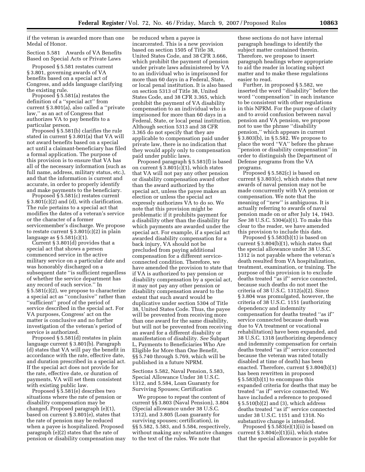if the veteran is awarded more than one Medal of Honor.

Section 5.581 Awards of VA Benefits Based on Special Acts or Private Laws

Proposed § 5.581 restates current § 3.801, governing awards of VA benefits based on a special act of Congress, and adds language clarifying the existing rule.

Proposed § 5.581(a) restates the definition of a ''special act'' from current § 3.801(a), also called a ''private law,'' as an act of Congress that authorizes VA to pay benefits to a particular person.

Proposed § 5.581(b) clarifies the rule stated in current § 3.801(a) that VA will not award benefits based on a special act until a claimant-beneficiary has filed a formal application. The purpose of this provision is to ensure that VA has all of the necessary information (such as full name, address, military status, etc.), and that the information is current and accurate, in order to properly identify and make payments to the beneficiary.

Proposed § 5.581(c) restates current  $\S 3.801(c)(2)$  and (d), with clarification. The rule pertains to a special act that modifies the dates of a veteran's service or the character of a former servicemember's discharge. We propose to restate current § 3.801(c)(2) in plain language as  $\S 5.581(c)(1)$ .

Current § 3.801(d) provides that a special act that shows a person commenced service in the active military service on a particular date and was honorably discharged on a subsequent date ''is sufficient regardless of whether the service department has any record of such service.'' In § 5.581(c)(2), we propose to characterize a special act as ''conclusive'' rather than ''sufficient'' proof of the period of service described in the special act. For VA purposes, Congress' act on the matter is conclusive and no further investigation of the veteran's period of service is authorized.

Proposed § 5.581(d) restates in plain language current § 3.801(b). Paragraph (d) states that VA will pay the benefit in accordance with the rate, effective date, and duration prescribed in a special act. If the special act does not provide for the rate, effective date, or duration of payments, VA will set them consistent with existing public law.

Proposed § 5.581(e) describes two situations where the rate of pension or disability compensation may be changed. Proposed paragraph (e)(1), based on current § 3.801(e), states that the rate of pension may be reduced when a payee is hospitalized. Proposed paragraph (e)(2) states that the rate of pension or disability compensation may be reduced when a payee is incarcerated. This is a new provision based on section 1505 of Title 38, United States Code, and 38 CFR 3.666, which prohibit the payment of pension under private laws administered by VA to an individual who is imprisoned for more than 60 days in a Federal, State, or local penal institution. It is also based on section 5313 of Title 38, United States Code, and 38 CFR 3.365, which prohibit the payment of VA disability compensation to an individual who is imprisoned for more than 60 days in a Federal, State, or local penal institution. Although section 5313 and 38 CFR 3.365 do not specify that they are applicable to compensation paid under private law, there is no indication that they would apply only to compensation paid under public laws.

Proposed paragraph § 5.581(f) is based on current  $\S 3.801(c)(1)$ , which states that VA will not pay any other pension or disability compensation award other than the award authorized by the special act, unless the payee makes an election or unless the special act expressly authorizes VA to do so. We note that this provision might be problematic if it prohibits payment for a disability other than the disability for which payments are awarded under the special act. For example, if a special act awarded disability compensation for a back injury, VA should not be precluded from paying additional compensation for a different serviceconnected condition. Therefore, we have amended the provision to state that if VA is authorized to pay pension or disability compensation by a special act, it may not pay any other pension or disability compensation award to the extent that such award would be duplicative under section 5304 of Title 38, United States Code. Thus, the payee will be prevented from receiving more than one award for the same disability, but will not be prevented from receiving an award for a different disability or manifestation of disability. *See* Subpart L, Payments to Beneficiaries Who Are Eligible for More than One Benefit, §§ 5.740 through 5.769, which will be published in a future NPRM.

Sections 5.582, Naval Pension, 5.583, Special Allowance Under 38 U.S.C. 1312, and 5.584, Loan Guaranty for Surviving Spouses; Certification

We propose to repeat the content of current §§ 3.803 (Naval Pension), 3.804 (Special allowance under 38 U.S.C. 1312), and 3.805 (Loan guaranty for surviving spouses; certification), in §§ 5.582, 5.583, and 5.584, respectively, without making any substantive changes to the text of the rules. We note that

these sections do not have internal paragraph headings to identify the subject matter contained therein. Therefore, we propose to insert paragraph headings where appropriate to aid the reader in locating subject matter and to make these regulations easier to read.

Further, in proposed § 5.582, we inserted the word ''disability'' before the word ''compensation'' in each instance to be consistent with other regulations in this NPRM. For the purpose of clarity and to avoid confusion between naval pension and VA pension, we propose not to use the phrase ''disability pension,'' which appears in current § 3.803(b), in § 5.582. We propose to place the word ''VA'' before the phrase ''pension or disability compensation'' in order to distinguish the Department of Defense programs from the VA programs.

Proposed § 5.582(c) is based on current § 3.803(c), which states that new awards of naval pension may not be made concurrently with VA pension or compensation. We note that the meaning of ''new'' is ambiguous. It is actually referring to awards of naval pension made on or after July 14, 1943. *See* 38 U.S.C. 5304(a)(1). To make this clear to the reader, we have amended this provision to include this date.

Proposed § 5.583(b)(1) is based on current § 3.804(b)(1), which states that the special allowance under 38 U.S.C. 1312 is not payable where the veteran's death resulted from VA hospitalization, treatment, examination, or training. The purpose of this provision is to exclude deaths treated ''as if'' service connected, because such deaths do not meet the criteria of 38 U.S.C. 1312(a)(2). Since § 3.804 was promulgated, however, the criteria of 38 U.S.C. 1151 (authorizing dependency and indemnity compensation for deaths treated ''as if'' service connected because death was due to VA treatment or vocational rehabilitation) have been expanded, and 38 U.S.C. 1318 (authorizing dependency and indemnity compensation for certain deaths treated ''as if'' service connected because the veteran was rated totally disabled at time of death) has been enacted. Therefore, current § 3.804(b)(1) has been rewritten in proposed § 5.583(b)(1) to encompass this expanded criteria for deaths that may be treated ''as if'' service connected. We have included a reference to proposed § 5.510(b)(2) and (3), which address deaths treated ''as if'' service connected under 38 U.S.C. 1151 and 1318. No substantive change is intended.

Proposed  $\S 5.583(e)(1)(ii)$  is based on current  $\S 3.804(e)(1)(ii)$ , which states that the special allowance is payable for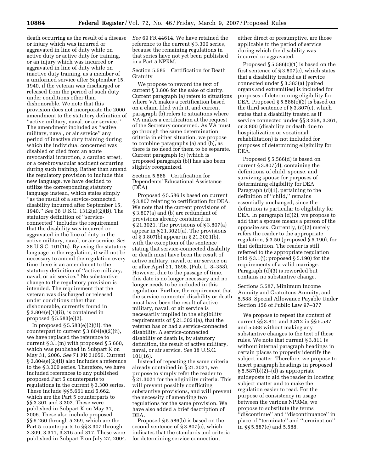death occurring as the result of a disease or injury which was incurred or aggravated in line of duty while on active duty or active duty for training, or an injury which was incurred or aggravated in line of duty while on inactive duty training, as a member of a uniformed service after September 15, 1940, if the veteran was discharged or released from the period of such duty under conditions other than dishonorable. We note that this provision does not incorporate the 2000 amendment to the statutory definition of ''active military, naval, or air service.'' The amendment included as ''active military, naval, or air service'' any period of inactive duty training during which the individual concerned was disabled or died from an acute myocardial infarction, a cardiac arrest, or a cerebrovascular accident occurring during such training. Rather than amend the regulatory provision to include this new language, we have decided to utilize the corresponding statutory language instead, which states simply ''as the result of a service-connected disability incurred after September 15, 1940.'' *See* 38 U.S.C. 1312(a)(2)(B). The statutory definition of ''serviceconnected'' includes the requirement that the disability was incurred or aggravated in the line of duty in the active military, naval, or air service. *See*  38 U.S.C. 101(16). By using the statutory language in the regulation, it will not be necessary to amend the regulation every time there is an amendment to the statutory definition of ''active military, naval, or air service.'' No substantive change to the regulatory provision is intended. The requirement that the veteran was discharged or released under conditions other than dishonorable, currently found in § 3.804(e)(1)(ii), is contained in proposed § 5.583(e)(2).

In proposed  $\S 5.583(e)(2)(ii)$ , the counterpart to current  $\S 3.804(e)(2)(ii)$ , we have replaced the reference to current § 3.1(m) with proposed § 5.660, which was published in Subpart K on May 31, 2006. *See* 71 FR 31056. Current § 3.804(e)(2)(ii) also includes a reference to the § 3.300 series. Therefore, we have included references to any published proposed Part 5 counterparts to regulations in the current § 3.300 series. These include §§ 5.661 and 5.662, which are the Part 5 counterparts to §§ 3.301 and 3.302. These were published in Subpart K on May 31, 2006. These also include proposed §§ 5.260 through 5.269, which are the Part 5 counterparts to §§ 3.307 through 3.309, 3.311, 3.316 and 317. These were published in Subpart E on July 27, 2004. *See* 69 FR 44614. We have retained the reference to the current § 3.300 series, because the remaining regulations in that series have not yet been published in a Part 5 NPRM.

Section 5.585 Certification for Death Gratuity

We propose to reword the text of current § 3.806 for the sake of clarity. Current paragraph (a) refers to situations where VA makes a certification based on a claim filed with it, and current paragraph (b) refers to situations where VA makes a certification at the request of the Secretary concerned. As VA must go through the same determination criteria in either situation, we propose to combine paragraphs (a) and (b), as there is no need for them to be separate. Current paragraph (c) (which is proposed paragraph (b)) has also been slightly reorganized.

Section 5.586 Certification for Dependents' Educational Assistance (DEA)

Proposed § 5.586 is based on current § 3.807 relating to certification for DEA. We note that the current provisions of § 3.807(a) and (b) are redundant of provisions already contained in § 21.3021. The provisions of § 3.807(a) appear in § 21.3021(a). The provisions of § 3.807(b) appear in § 21.3021(b), with the exception of the sentence stating that service-connected disability or death must have been the result of active military, naval, or air service on or after April 21, 1898. (Pub. L. 8–358). However, due to the passage of time, this date is no longer necessary and no longer needs to be included in this regulation. Further, the requirement that the service-connected disability or death must have been the result of active military, naval, or air service is necessarily implied in the eligibility requirements of § 21.3021(a), that the veteran has or had a service-connected disability. A service-connected disability or death is, by statutory definition, the result of active military, naval, or air service. *See* 38 U.S.C. 101(16).

Instead of repeating the same criteria already contained in § 21.3021, we propose to simply refer the reader to § 21.3021 for the eligibility criteria. This will prevent possibly conflicting substantive provisions, and will prevent the necessity of amending two regulations for the same provision. We have also added a brief description of DEA.

Proposed § 5.586(b) is based on the second sentence of § 3.807(c), which indicates that the standards and criteria for determining service connection,

either direct or presumptive, are those applicable to the period of service during which the disability was incurred or aggravated.

Proposed  $\S 5.586(c)(1)$  is based on the first sentence of § 3.807(c), which states that a disability treated as if service connected under § 3.383(a) (paired organs and extremities) is included for purposes of determining eligibility for DEA. Proposed § 5.586(c)(2) is based on the third sentence of § 3.807(c), which states that a disability treated as if service connected under §§ 3.358, 3.361, or 3.800 (disability or death due to hospitalization or vocational rehabilitation) is not included for purposes of determining eligibility for DEA.

Proposed § 5.586(d) is based on current § 3.807(d), containing the definitions of child, spouse, and surviving spouse for purposes of determining eligibility for DEA. Paragraph (d)(1), pertaining to the definition of ''child,'' remains essentially unchanged, since the definition is particular to eligibility for DEA. In paragraph (d)(2), we propose to add that a spouse means a person of the opposite sex. Currently, (d)(2) merely refers the reader to the appropriate regulation, § 3.50 (proposed § 5.190), for that definition. The reader is still referred to the appropriate regulation (old  $\S 3.1$ (j); proposed  $\S 5.190$ ) for the requirements of a valid marriage. Paragraph (d)(3) is reworded but contains no substantive change.

Sections 5.587, Minimum Income Annuity and Gratuitous Annuity, and 5.588, Special Allowance Payable Under Section 156 of Public Law 97–377

We propose to repeat the content of current §§ 3.811 and 3.812 in §§ 5.587 and 5.588 without making any substantive changes to the text of these rules. We note that current § 3.811 is without internal paragraph headings in certain places to properly identify the subject matter. Therefore, we propose to insert paragraph headings in proposed  $§ 5.587(b)(2)–(d)$  as appropriate guideposts to aid the reader in locating subject matter and to make the regulation easier to read. For the purpose of consistency in usage between the various NPRMs, we propose to substitute the terms ''discontinue'' and ''discontinuance'' in place of ''terminate'' and ''termination'' in §§ 5.587(e) and 5.588.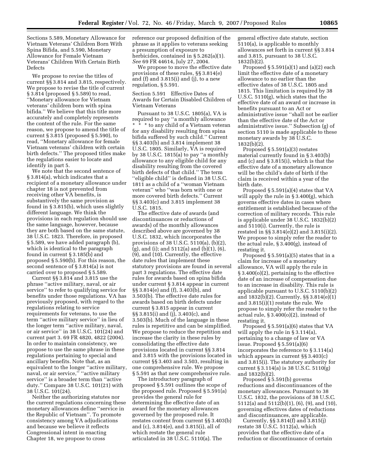Sections 5.589, Monetary Allowance for Vietnam Veterans' Children Born With Spina Bifida, and 5.590, Monetary Allowance for Female Vietnam Veterans' Children With Certain Birth Defects

We propose to revise the titles of current §§ 3.814 and 3.815, respectively. We propose to revise the title of current § 3.814 (proposed § 5.589) to read, ''Monetary allowance for Vietnam veterans' children born with spina bifida.'' We believe that this title more accurately and completely represents the content of the rule. For the same reason, we propose to amend the title of current § 3.815 (proposed § 5.590), to read, ''Monetary allowance for female Vietnam veterans' children with certain birth defects.'' The proposed titles make the regulations easier to locate and identify in part 5.

We note that the second sentence of § 3.814(a), which indicates that a recipient of a monetary allowance under chapter 18 is not prevented from receiving other VA benefits, is substantively the same provision as found in § 3.815(b), which uses slightly different language. We think the provisions in each regulation should use the same language, however, because they are both based on the same statute, 38 U.S.C. 1823. Therefore, in proposed § 5.589, we have added paragraph (b), which is identical to the paragraph found in current § 3.185(b) and proposed § 5.590(b). For this reason, the second sentence of § 3.814(a) is not carried over to proposed § 5.589.

Current §§ 3.814 and 3.815 use the phrase ''active military, naval, or air service'' to refer to qualifying service for benefits under those regulations. VA has previously proposed, with regard to the regulations relating to service requirements for veterans, to use the term ''active military service'' in lieu of the longer term ''active military, naval, or air service'' in 38 U.S.C. 101(24) and current part 3. 69 FR 4820, 4822 (2004). In order to maintain consistency, we propose to use the same phrase in these regulations pertaining to special and ancillary benefits. Note that, as an equivalent to the longer ''active military, naval, or air service," "active military service'' is a broader term than ''active duty.'' Compare 38 U.S.C. 101(21) with 38 U.S.C. 101(24).

Neither the authorizing statutes nor the current regulations concerning these monetary allowances define ''service in the Republic of Vietnam''. To promote consistency among VA adjudications and because we believe it reflects Congressional intent in enacting Chapter 18, we propose to cross

reference our proposed definition of the phrase as it applies to veterans seeking a presumption of exposure to herbicides, contained in § 5.262(a)(1). *See* 69 FR 44614, July 27, 2004.

We propose to move the effective date provisions of these rules, §§ 3.814(e) and (f) and 3.815(i) and (j), to a new regulation, § 5.591.

Section 5.591 Effective Dates of Awards for Certain Disabled Children of Vietnam Veterans

Pursuant to 38 U.S.C. 1805(a), VA is required to pay ''a monthly allowance \* \* \* to any child of a Vietnam veteran for any disability resulting from spina bifida suffered by such child.'' Current §§ 3.403(b) and 3.814 implement 38 U.S.C. 1805. Similarly, VA is required by 38 U.S.C. 1815(a) to pay ''a monthly allowance to any eligible child for any disability resulting from the covered birth defects of that child.'' The term ''eligible child'' is defined in 38 U.S.C. 1811 as a child of a ''woman Vietnam veteran'' who ''was born with one or more covered birth defects.'' Current §§ 3.403(c) and 3.815 implement 38 U.S.C. 1815.

The effective date of awards (and discontinuances or reductions of awards) of the monthly allowances described above are governed by 38 U.S.C. 1832, which incorporates the provisions of 38 U.S.C. 5110(a), (b)(2), (g), and (i); and 5112(a) and (b)(1), (6), (9), and (10). Currently, the effective date rules that implement these statutory provisions are found in several part 3 regulations. The effective date rules for awards based on spina bifida under current § 3.814 appear in current §§ 3.814(e) and (f), 3.403(b), and 3.503(b). The effective date rules for awards based on birth defects under current § 3.815 appear in current §§ 3.815(i) and (j), 3.403(c), and 3.503(b). Much of the language in these rules is repetitive and can be simplified. We propose to reduce the repetition and increase the clarity in these rules by consolidating the effective date provisions located in current §§ 3.814 and 3.815 with the provisions located in current §§ 3.403 and 3.503, resulting in one comprehensive rule. We propose § 5.591 as that new comprehensive rule.

The introductory paragraph of proposed § 5.591 outlines the scope of the proposed rule. Proposed § 5.591(a) provides the general rule for determining the effective date of an award for the monetary allowances governed by the proposed rule. It restates content from current §§ 3.403(b) and (c), 3.814(e), and 3.815(i), all of which restate the general rule articulated in 38 U.S.C. 5110(a). The

general effective date statute, section 5110(a), is applicable to monthly allowances set forth in current §§ 3.814 and 3.815, pursuant to 38 U.S.C. 1832(b)(2).

Proposed  $\S 5.591(a)(1)$  and  $(a)(2)$  each limit the effective date of a monetary allowance to no earlier than the effective dates of 38 U.S.C. 1805 and 1815. This limitation is required by 38 U.S.C. 5110(g), which states that the effective date of an award or increase in benefits pursuant to an Act or administrative issue ''shall not be earlier than the effective date of the Act or administrative issue.'' Subsection (g) of section 5110 is made applicable to these monetary awards by 38 U.S.C. 1832(b)(2).

Proposed § 5.591(a)(3) restates material currently found in § 3.403(b) and (c) and § 3.815(i), which is that the effective date of a monetary allowance will be the child's date of birth if the claim is received within a year of the birth date.

Proposed § 5.591(a)(4) states that VA will apply the rule in § 3.400(g), which governs effective dates in cases where entitlement is established because of the correction of military records. This rule is applicable under 38 U.S.C. 1832(b)(2) and 5110(i). Currently, the rule is restated in §§ 3.814(e)(2) and 3.815(i)(2). We propose to simply refer the reader to the actual rule, § 3.400(g), instead of restating it.

Proposed § 5.591(a)(5) states that in a claim for increase of a monetary allowance, VA will apply the rule in § 3.400(o)(2), pertaining to the effective date of an increase of compensation due to an increase in disability. This rule is applicable pursuant to U.S.C. 5110(b)(2) and 1832(b)(2). Currently, §§ 3.814(e)(1) and 3.815(i)(1) restate the rule. We propose to simply refer the reader to the actual rule, § 3.400(o)(2), instead of restating it.

Proposed § 5.591(a)(6) states that VA will apply the rule in § 3.114(a), pertaining to a change of law or VA issue. Proposed § 5.591(a)(6) incorporates the reference to § 3.114(a) which appears in current §§ 3.403(c) and 3.815(i). The statutory authority for current § 3.114(a) is 38 U.S.C. 5110(g) and 1832(b)(2).

Proposed § 5.591(b) governs reductions and discontinuances of the monetary allowances. Pursuant to 38 U.S.C. 1832, the provisions of 38 U.S.C. 5112(a) and 5112(b)(1), (6), (9), and (10), governing effectives dates of reductions and discontinuances, are applicable.

Currently, §§ 3.814(f) and 3.815(j) restate 38  $\dot{\text{U}}$ .S.C. 5112(a), which provides that the effective date of a reduction or discontinuance of certain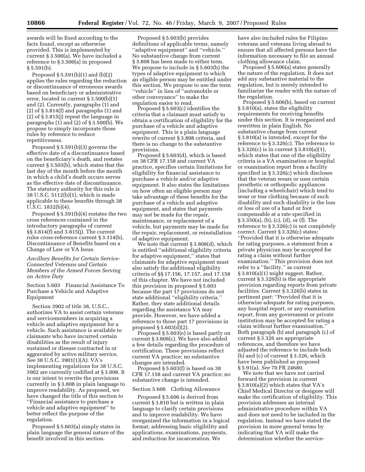awards will be fixed according to the facts found, except as otherwise provided. This is implemented by current § 3.500(a). We have included a reference to § 3.500(a) in proposed § 5.591(b).

Proposed § 5.591(b)(1) and (b)(2) applies the rules regarding the reduction or discontinuance of erroneous awards based on beneficiary or administrative error, located in current § 3.500(b)(1) and (2). Currently, paragraphs (1) and (2) of § 3.814(f) and paragraphs (1) and (2) of § 3.815(j) repeat the language in paragraphs (1) and (2) of § 3.500(b). We propose to simply incorporate those rules by reference to reduce repetitiveness.

Proposed § 5.591(b)(3) governs the effective date of a discontinuance based on the beneficiary's death, and restates current § 3.503(b), which states that the last day of the month before the month in which a child's death occurs serves as the effective date of discontinuance. The statutory authority for this rule is 38 U.S.C. 5112(b)(1), which is made applicable to these benefits through 38 U.S.C. 1832(b)(4).

Proposed § 5.591(b)(4) restates the two cross references contained in the introductory paragraphs of current §§ 3.814(f) and 3.815(j). The current rules cross-reference current § 3.114(b), Discontinuance of Benefits based on a Change of Law or VA Issue.

## *Ancillary Benefits for Certain Service-Connected Veterans and Certain Members of the Armed Forces Serving on Active Duty*

Section 5.603 Financial Assistance To Purchase a Vehicle and Adaptive Equipment

Section 3902 of title 38, U.S.C., authorizes VA to assist certain veterans and servicemembers in acquiring a vehicle and adaptive equipment for a vehicle. Such assistance is available to claimants who have incurred certain disabilities as the result of injury sustained or disease contracted in or aggravated by active military service. *See* 38 U.S.C. 3901(1)(A). VA's implementing regulations for 38 U.S.C. 3902 are currently codified at § 3.808. It is our intent to rewrite the provisions currently in § 3.808 in plain language to improve readability. As proposed, we have changed the title of this section to ''Financial assistance to purchase a vehicle and adaptive equipment'' to better reflect the purpose of the regulation.

Proposed § 5.603(a) simply states in plain language the general nature of the benefit involved in this section.

Proposed § 5.603(b) provides definitions of applicable terms, namely ''adaptive equipment'' and ''vehicle.'' No substantive change from current § 3.808 has been made to either term. We propose to include in § 5.603(b) the types of adaptive equipment to which an eligible person may be entitled under this section. We propose to use the term ''vehicle'' in lieu of ''automobile or other conveyance'' to make the regulation easier to read.

Proposed § 5.603(c) identifies the criteria that a claimant must satisfy to obtain a certification of eligibility for the purchase of a vehicle and adaptive equipment. This is a plain language rewrite of current § 3.808 criteria, and there is no change to the substantive provisions.

Proposed § 5.603(d), which is based on 38 CFR 17.158 and current VA practice, specifies certain limitations for eligibility for financial assistance to purchase a vehicle and/or adaptive equipment. It also states the limitations on how often an eligible person may take advantage of these benefits for the purchase of a vehicle and adaptive equipment, and states that payments may not be made for the repair, maintenance, or replacement of a vehicle, but payments may be made for the repair, replacement, or reinstallation of adaptive equipment.

We note that current § 3.808(d), which is entitled ''additional eligibility criteria for adaptive equipment,'' states that claimants for adaptive equipment must also satisfy the additional eligibility criteria of §§ 17.156, 17.157, and 17.158 of this chapter. We have not included this provision in proposed § 5.603 because the part 17 provisions do not state additional ''eligibility criteria.'' Rather, they state additional details regarding the assistance VA may provide. However, we have added a reference to those part 17 provisions in proposed  $\S 5.603(\overline{d})(2)$ .

Proposed § 5.603(e) is based partly on current § 3.808(c). We have also added a few details regarding the procedure of certification. These provisions reflect current VA practice; no substantive changes are intended.

Proposed § 5.603(f) is based on 38 CFR 17.158 and current VA practice; no substantive change is intended.

## Section 5.606 Clothing Allowance

Proposed § 5.606 is derived from current § 3.810 but is written in plain language to clarify certain provisions and to improve readability. We have reorganized the information in a logical format, addressing basic eligibility and applications, examinations, payments, and reduction for incarceration. We

have also included rules for Filipino veterans and veterans living abroad to ensure that all affected persons have the information necessary to file an annual clothing allowance claim.

Proposed § 5.606(a) states generally the nature of the regulation. It does not add any substantive material to the regulation, but is merely intended to familiarize the reader with the nature of the regulation.

Proposed § 5.606(b), based on current § 3.810(a), states the eligibility requirements for receiving benefits under this section. It is reorganized and rewritten in plain English. No substantive change from current § 3.810(a) is intended, except for the reference to § 3.326(c). The reference to § 3.326(c) is in current § 3.810(a)(1), which states that one of the eligibility criteria is a VA examination or hospital or examination report from a facility specified in § 3.326(c) which discloses that the veteran wears or uses certain prosthetic or orthopedic appliances (including a wheelchair) which tend to wear or tear clothing because of such disability and such disability is the loss or loss of use of a hand or foot compensable at a rate specified in § 3.350(a), (b), (c), (d), or (f). The reference to § 3.326(c) is not completely correct. Current § 3.326(c) states: ''Provided that it is otherwise adequate for rating purposes, a statement from a private physician may be accepted for rating a claim without further examination.'' This provision does not refer to a ''facility,'' as current § 3.810(a)(1) might suggest. Rather, current § 3.326(b) is the appropriate provision regarding reports from private facilities. Current § 3.326(b) states in pertinent part: ''Provided that it is otherwise adequate for rating purposes, any hospital report, or any examination report, from any government or private institution may be accepted for rating a claim without further examination.'' Both paragraph (b) and paragraph (c) of current § 3.326 are appropriate references, and therefore we have adjusted the reference to include both (b) and (c) of current § 3.326, which have been published as proposed § 5.91(a). *See* 70 FR 24680.

We note that we have not carried forward the provision in current § 3.810(a)(2) which states that VA's Chief Medical Director or designee will make the certification of eligibility. This provision addresses an internal administrative procedure within VA and does not need to be included in the regulation. Instead we have stated the provision in more general terms by indicating that VA will make the determination whether the service-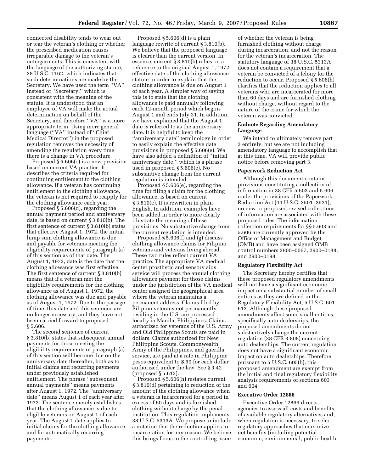connected disability tends to wear out or tear the veteran's clothing or whether the prescribed medication causes irreparable damage to the veteran's outergarments. This is consistent with the language of the authorizing statute, 38 U.S.C. 1162, which indicates that such determinations are made by the Secretary. We have used the term ''VA'' instead of ''Secretary,'' which is consistent with the meaning of the statute. It is understood that an employee of VA will make the actual determination on behalf of the Secretary, and therefore "VA" is a more appropriate term. Using more general language (''VA'' instead of ''Chief Medical Director'') in the proposed regulation removes the necessity of amending the regulation every time there is a change in VA procedure.

Proposed § 5.606(c) is a new provision based on current VA practice. It describes the criteria required for continuing entitlement to the clothing allowance. If a veteran has continuing entitlement to the clothing allowance, the veteran is not required to reapply for the clothing allowance each year.

Proposed § 5.606(d), regarding the annual payment period and anniversary date, is based on current § 3.810(b). The first sentence of current § 3.810(b) states that effective August 1, 1972, the initial lump sum clothing allowance is due and payable for veterans meeting the eligibility requirements of paragraph (a) of this section as of that date. The August 1, 1972, date is the date that the clothing allowance was first effective. The first sentence of current § 3.810(b) means that if a veteran met the eligibility requirements for the clothing allowance as of August 1, 1972, the clothing allowance was due and payable as of August 1, 1972. Due to the passage of time, this date and this sentence are no longer necessary, and they have not been carried forward to proposed § 5.606.

The second sentence of current § 3.810(b) states that subsequent annual payments for those meeting the eligibility requirements of paragraph (a) of this section will become due on the anniversary date thereafter, both as to initial claims and recurring payments under previously established entitlement. The phrase ''subsequent annual payments'' means payments after August 1, 1972. The ''anniversary date'' means August 1 of each year after 1972. The sentence merely establishes that the clothing allowance is due to eligible veterans on August 1 of each year. The August 1 date applies to initial claims for the clothing allowance, and for automatically recurring payments.

Proposed § 5.606(d) is a plain language rewrite of current § 3.810(b). We believe that the proposed language is clearer than the current version. In essence, current § 3.810(b) relies on a reference to the original August 1, 1972, effective date of the clothing allowance statute in order to explain that the clothing allowance is due on August 1 of each year. A simpler way of saying this is to state that the clothing allowance is paid annually following each 12-month period which begins August 1 and ends July 31. In addition, we have explained that the August 1 date is referred to as the anniversary date. It is helpful to keep the ''anniversary date'' terminology in order to easily explain the effective date provisions in proposed § 5.606(e). We have also added a definition of ''initial anniversary date,'' which is a phrase used in proposed § 5.606(e). No substantive change from the current regulation is intended.

Proposed § 5.606(e), regarding the time for filing a claim for the clothing allowance, is based on current § 3.810(c). It is rewritten in plain English. In addition, examples have been added in order to more clearly illustrate the meaning of these provisions. No substantive change from the current regulation is intended.

Proposed § 5.606(f) and (g) discuss clothing allowance claims for Filipino veterans and veterans living abroad. These two rules reflect current VA practice. The appropriate VA medical center prosthetic and sensory aids service will process the annual clothing allowance payment for those claims under the jurisdiction of the VA medical center assigned the geographical area where the veteran maintains a permanent address. Claims filed by Filipino veterans not permanently residing in the U.S. are processed locally in Manila, Philippines. Claims authorized for veterans of the U.S. Army and Old Philippine Scouts are paid in dollars. Claims authorized for New Philippine Scouts, Commonwealth Army of the Philippines, and guerilla service, are paid at a rate in Philippine pesos equivalent to \$.50 for each dollar authorized under the law. See § 3.42 (proposed § 5.613).

Proposed § 5.606(h) restates current § 3.810(d) pertaining to reduction of the amount of the clothing allowance when a veteran is incarcerated for a period in excess of 60 days and is furnished clothing without charge by the penal institution. This regulation implements 38 U.S.C. 5313A. We propose to include a notation that the reduction applies to incarceration for any reason. We believe this brings focus to the controlling issue

of whether the veteran is being furnished clothing without charge during incarceration, and not the reason for the veteran's incarceration. The statutory language of 38 U.S.C. 5313A does not contain a requirement that a veteran be convicted of a felony for the reduction to occur. Proposed § 5.606(h) clarifies that the reduction applies to all veterans who are incarcerated for more than 60 days and are furnished clothing without charge, without regard to the nature of the crime for which the veteran was convicted.

## **Endnote Regarding Amendatory Language**

We intend to ultimately remove part 3 entirely, but we are not including amendatory language to accomplish that at this time. VA will provide public notice before removing part 3.

#### **Paperwork Reduction Act**

Although this document contains provisions constituting a collection of information in 38 CFR 5.603 and 5.606 under the provisions of the Paperwork Reduction Act (44 U.S.C. 3501–3521), no new or proposed revised collections of information are associated with these proposed rules. The information collection requirements for §§ 5.603 and 5.606 are currently approved by the Office of Management and Budget (OMB) and have been assigned OMB control numbers 2900–0067, 2900–0188, and 2900–0198.

#### **Regulatory Flexibility Act**

The Secretary hereby certifies that these proposed regulatory amendments will not have a significant economic impact on a substantial number of small entities as they are defined in the Regulatory Flexibility Act, 5 U.S.C. 601– 612. Although these proposed amendments affect some small entities, specifically auto dealerships, the proposed amendments do not substantively change the current regulation (38 CFR 3.808) concerning auto dealerships. The current regulation does not have a significant economic impact on auto dealerships. Therefore, pursuant to 5 U.S.C. 605(b), this proposed amendment are exempt from the initial and final regulatory flexibility analysis requirements of sections 603 and 604.

## **Executive Order 12866**

Executive Order 12866 directs agencies to assess all costs and benefits of available regulatory alternatives and, when regulation is necessary, to select regulatory approaches that maximize net benefits (including potential economic, environmental, public health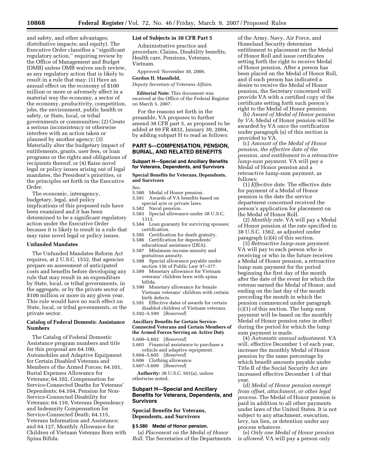and safety, and other advantages; distributive impacts; and equity). The Executive Order classifies a ''significant regulatory action,'' requiring review by the Office of Management and Budget (OMB) unless OMB waives such review, as any regulatory action that is likely to result in a rule that may: (1) Have an annual effect on the economy of \$100 million or more or adversely affect in a material way the economy, a sector of the economy, productivity, competition, jobs, the environment, public health or safety, or State, local, or tribal governments or communities; (2) Create a serious inconsistency or otherwise interfere with an action taken or planned by another agency; (3) Materially alter the budgetary impact of entitlements, grants, user fees, or loan programs or the rights and obligations of recipients thereof; or (4) Raise novel legal or policy issues arising out of legal mandates, the President's priorities, or the principles set forth in the Executive Order.

The economic, interagency, budgetary, legal, and policy implications of this proposed rule have been examined and it has been determined to be a significant regulatory action under the Executive Order because it is likely to result in a rule that may raise novel legal or policy issues.

#### **Unfunded Mandates**

The Unfunded Mandates Reform Act requires, at 2 U.S.C. 1532, that agencies prepare an assessment of anticipated costs and benefits before developing any rule that may result in an expenditure by State, local, or tribal governments, in the aggregate, or by the private sector of \$100 million or more in any given year. This rule would have no such effect on State, local, or tribal governments, or the private sector.

## **Catalog of Federal Domestic Assistance Numbers**

The Catalog of Federal Domestic Assistance program numbers and title for this proposal are 64.100, Automobiles and Adaptive Equipment for Certain Disabled Veterans and Members of the Armed Forces; 64.101, Burial Expenses Allowance for Veterans; 64.102, Compensation for Service-Connected Deaths for Veterans' Dependents; 64.104, Pension for Non-Service-Connected Disability for Veterans; 64.110, Veterans Dependency and Indemnity Compensation for Service-Connected Death; 64.115, Veterans Information and Assistance; and 64.127, Monthly Allowance for Children of Vietnam Veterans Born with Spina Bifida.

## **List of Subjects in 38 CFR Part 5**

Administrative practice and procedure, Claims, Disability benefits, Health care, Pensions, Veterans, Vietnam.

Approved: November 30, 2006.

## **Gordon H. Mansfield,**

*Deputy Secretary of Veterans Affairs.* 

**Editorial Note:** This document was received at the Office of the Federal Register on March 5, 2007.

For the reasons set forth in the preamble, VA proposes to further amend 38 CFR part 5, as proposed to be added at 69 FR 4832, January 30, 2004, by adding subpart H to read as follows:

## **PART 5—COMPENSATION, PENSION, BURIAL, AND RELATED BENEFITS**

#### **Subpart H—Special and Ancillary Benefits for Veterans, Dependents, and Survivors**

## **Special Benefits for Veterans, Dependents, and Survivors**

Sec.

- 5.580 Medal of Honor pension.
- 5.581 Awards of VA benefits based on special acts or private laws.
- 5.582 Naval pension.
- 5.583 Special allowance under 38 U.S.C. 1312.
- 5.584 Loan guaranty for surviving spouses; certification.
- 5.585 Certification for death gratuity. 5.586 Certification for dependents'
- educational assistance (DEA).
- 5.587 Minimum income annuity and
- gratuitous annuity.<br>5.588 Special allowan Special allowance payable under section 156 of Public Law 97–377.
- 5.589 Monetary allowance for Vietnam veterans' children born with spina bifida.
- 5.590 Monetary allowance for female Vietnam veterans' children with certain birth defects.
- 5.591 Effective dates of awards for certain disabled children of Vietnam veterans. 5.592–5.599 [*Reserved*]

### **Ancillary Benefits for Certain Service-Connected Veterans and Certain Members of the Armed Forces Serving on Active Duty**

5.600–5.602 [*Reserved*]

- 5.603 Financial assistance to purchase a vehicle and adaptive equipment.
- 5.604–5.605 [*Reserved*]
- 5.606 Clothing allowance.
- 5.607–5.609 [*Reserved*]

**Authority:** 38 U.S.C. 501(a), unless otherwise noted.

## **Subpart H—Special and Ancillary Benefits for Veterans, Dependents, and Survivors**

## **Special Benefits for Veterans, Dependents, and Survivors**

## **§ 5.580 Medal of Honor pension.**

(a) *Placement on the Medal of Honor Roll*. The Secretaries of the Departments

of the Army, Navy, Air Force, and Homeland Security determine entitlement to placement on the Medal of Honor Roll and issue certificates setting forth the right to receive Medal of Honor pension. After a person has been placed on the Medal of Honor Roll, and if such person has indicated a desire to receive the Medal of Honor pension, the Secretary concerned will provide VA with a certified copy of the certificate setting forth such person's right to the Medal of Honor pension.

(b) *Award of Medal of Honor pension by VA*. Medal of Honor pension will be awarded by VA once the certification under paragraph (a) of this section is provided to VA.

(c) *Amount of the Medal of Honor pension, the effective date of the pension, and entitlement to a retroactive lump-sum payment*. VA will pay a Medal of Honor pension and a retroactive lump-sum payment, as follows:

(1) *Effective date*. The effective date for payment of a Medal of Honor pension is the date the service department concerned received the person's application for placement on the Medal of Honor Roll.

(2) *Monthly rate*. VA will pay a Medal of Honor pension at the rate specified in 38 U.S.C. 1562, as adjusted under paragraph (c)(4) of this section.

(3) *Retroactive lump-sum payment*. VA will pay to each person who is receiving or who in the future receives a Medal of Honor pension, a retroactive lump sum payment for the period beginning the first day of the month after the date of the event for which the veteran earned the Medal of Honor, and ending on the last day of the month preceding the month in which the pension commenced under paragraph (c)(1) of this section. The lump sum payment will be based on the monthly Medal of Honor pension rates in effect during the period for which the lump sum payment is made.

(4) *Automatic annual adjustment*. VA will, effective December 1 of each year, increase the monthly Medal of Honor pension by the same percentage by which benefit amounts payable under Title II of the Social Security Act are increased effective December 1 of that year.

(d) *Medal of Honor pension exempt from offset, attachment, or other legal process*. The Medal of Honor pension is paid in addition to all other payments under laws of the United States. It is not subject to any attachment, execution, levy, tax lien, or detention under any process whatever.

(e) *Only one Medal of Honor pension is allowed*. VA will pay a person only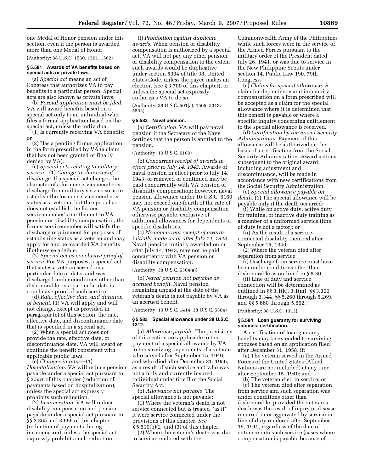one Medal of Honor pension under this section, even if the person is awarded more than one Medal of Honor.

(Authority: 38 U.S.C. 1560, 1561, 1562)

## **§ 5.581 Awards of VA benefits based on special acts or private laws.**

(a) *Special act* means an act of Congress that authorizes VA to pay benefits to a particular person. Special acts are also known as private laws.

(b) *Formal application must be filed*. VA will award benefits based on a special act only to an individual who files a formal application based on the special act, unless the individual:

(1) Is currently receiving VA benefits; or

(2) Has a pending formal application in the form prescribed by  $V\overline{A}$  (a claim that has not been granted or finally denied by VA).

(c) *Special acts relating to military service*—(1) *Change to character of discharge*. If a special act changes the character of a former servicemember's discharge from military service so as to establish the former servicemember's status as a veteran, but the special act does not establish the former servicemember's entitlement to VA pension or disability compensation, the former servicemember will satisfy the discharge requirement for purposes of establishing status as a veteran and may apply for and be awarded VA benefits if otherwise eligible.

(2) *Special act as conclusive proof of service*. For VA purposes, a special act that states a veteran served on a particular date or dates and was discharged under conditions other than dishonorable on a particular date is conclusive proof of such service.

(d) *Rate, effective date, and duration of benefit*. (1) VA will apply and will not change, except as provided in paragraph (e) of this section, the rate, effective date, and discontinuance date that is specified in a special act.

(2) When a special act does not provide the rate, effective date, or discontinuance date, VA will award or continue the benefit consistent with applicable public laws.

(e) *Changes in rates*—(1) *Hospitalization*. VA will reduce pension payable under a special act pursuant to § 3.551 of this chapter (reduction of payments based on hospitalization), unless the special act expressly prohibits such reduction.

(2) *Incarceration*. VA will reduce disability compensation and pension payable under a special act pursuant to §§ 3.365 and 3.666 of this chapter (reduction of payments during incarceration), unless the special act expressly prohibits such reduction.

(f) *Prohibition against duplicate awards.* When pension or disability compensation is authorized by a special act, VA will not pay any other pension or disability compensation to the extent such awards would be duplicative under section 5304 of title 38, United States Code, unless the payee makes an election (see § 3.700 of this chapter), or unless the special act expressly authorizes VA to do so.

(Authority: 38 U.S.C. 501(a), 1505, 5313, 5503)

#### **§ 5.582 Naval pension.**

(a) *Certification.* VA will pay naval pension if the Secretary of the Navy certifies that the person is entitled to the pension.

## (Authority: 10 U.S.C. 6160)

(b) *Concurrent receipt of awards in effect prior to July 14, 1943.* Awards of naval pension in effect prior to July 14, 1943, or renewed or continued may be paid concurrently with VA pension or disability compensation; however, naval pension allowance under 10 U.S.C. 6160 may not exceed one-fourth of the rate of VA pension or disability compensation otherwise payable, exclusive of additional allowances for dependents or specific disabilities.

(c) *No concurrent receipt of awards initially made on or after July 14, 1943.*  Naval pension initially awarded on or after July 14, 1943, may not be paid concurrently with VA pension or disability compensation.

(Authority: 38 U.S.C. 5304(a))

(d) *Naval pension not payable as accrued benefit.* Naval pension remaining unpaid at the date of the veteran's death is not payable by VA as an accrued benefit.

(Authority: 10 U.S.C. 1414; 38 U.S.C. 5304)

### **§ 5.583 Special allowance under 38 U.S.C. 1312.**

(a) *Allowance payable.* The provisions of this section are applicable to the payment of a special allowance by VA to the surviving dependents of a veteran who served after September 15, 1940, and who died after December 31, 1956, as a result of such service and who was not a fully and currently insured individual under title II of the Social Security Act.

(b) *Allowance not payable.* The special allowance is not payable:

(1) Where the veteran's death is not service connected but is treated ''as if'' it were service connected under the provisions of this chapter. *See*  § 5.510(b)(2) and (3) of this chapter;

(2) Where the veteran's death was due to service rendered with the

Commonwealth Army of the Philippines while such forces were in the service of the Armed Forces pursuant to the military order of the President dated July 26, 1941, or was due to service in the New Philippine Scouts under section 14, Public Law 190, 79th Congress.

(c) *Claims for special allowance.* A claim for dependency and indemnity compensation on a form prescribed will be accepted as a claim for the special allowance where it is determined that this benefit is payable or where a specific inquiry concerning entitlement to the special allowance is received.

(d) *Certification by the Social Security Administration.* Payment of this allowance will be authorized on the basis of a certification from the Social Security Administration. Award actions subsequent to the original award, including adjustment and discontinuance, will be made in accordance with new certifications from the Social Security Administration.

(e) *Special allowance payable on death.* (1) The special allowance will be payable only if the death occurred:

(i) While on active duty, active duty for training, or inactive duty training as a member of a uniformed service (line of duty is not a factor); or

(ii) As the result of a serviceconnected disability incurred after September 15, 1940.

(2) Where the veteran died after separation from service:

(i) Discharge from service must have been under conditions other than dishonorable as outlined in § 5.30.

(ii) Line of duty and service connection will be determined as outlined in §§ 3.1(k), 3.1(m), §§ 3.300 through 3.344, §§ 5.260 through 5.269, and §§ 5.660 through 5.662.

(Authority: 38 U.S.C. 1312)

## **§ 5.584 Loan guaranty for surviving spouses; certification.**

A certification of loan guaranty benefits may be extended to surviving spouses based on an application filed after December 31, 1958, if:

(a) The veteran served in the Armed Forces of the United States (Allied Nations are not included) at any time after September 15, 1940; and

(b) The veteran died in service; or (c) The veteran died after separation from service and such separation was under conditions other than dishonorable, provided the veteran's death was the result of injury or disease incurred in or aggravated by service in line of duty rendered after September 15, 1940, regardless of the date of entrance into such service (cases where compensation is payable because of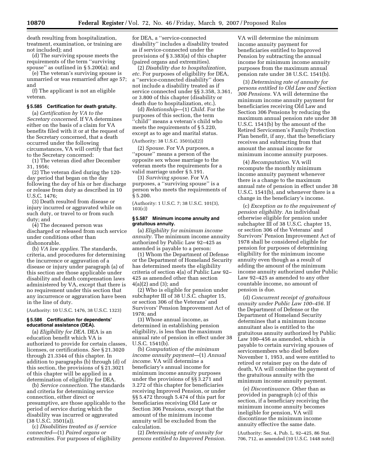death resulting from hospitalization, treatment, examination, or training are not included); and

(d) The surviving spouse meets the requirements of the term ''surviving spouse'' as outlined in § 5.200(a); and

(e) The veteran's surviving spouse is unmarried or was remarried after age 57; and

(f) The applicant is not an eligible veteran.

#### **§ 5.585 Certification for death gratuity.**

(a) *Certification by VA to the Secretary concerned.* If VA determines either on the basis of a claim for VA benefits filed with it or at the request of the Secretary concerned, that a death occurred under the following circumstances, VA will certify that fact to the Secretary concerned:

(1) The veteran died after December 31, 1956;

(2) The veteran died during the 120 day period that began on the day following the day of his or her discharge or release from duty as described in 10 U.S.C. 1476;

(3) Death resulted from disease or injury incurred or aggravated while on such duty, or travel to or from such duty; and

(4) The deceased person was discharged or released from such service under conditions other than dishonorable.

(b) *VA law applies.* The standards, criteria, and procedures for determining the incurrence or aggravation of a disease or injury under paragraph (a) of this section are those applicable under disability and death compensation laws administered by VA, except that there is no requirement under this section that any incurrence or aggravation have been in the line of duty.

(Authority: 10 U.S.C. 1476, 38 U.S.C. 1323)

#### **§ 5.586 Certification for dependents' educational assistance (DEA).**

(a) *Eligibility for DEA.* DEA is an education benefit which VA is authorized to provide for certain classes, licenses, or certifications. *See* § 21.3020 through 21.3344 of this chapter. In addition to paragraphs (b) through (d) of this section, the provisions of § 21.3021 of this chapter will be applied in a determination of eligibility for DEA.

(b) *Service connection.* The standards and criteria for determining service connection, either direct or presumptive, are those applicable to the period of service during which the disability was incurred or aggravated  $(38 \text{ U.S.C. } 3501(a))$ .

(c) *Disabilities treated as if service connected—*(1) *Paired organs or extremities.* For purposes of eligibility for DEA, a ''service-connected disability'' includes a disability treated as if service-connected under the provisions of § 3.383(a) of this chapter (paired organs and extremities).

(2) *Disability due to hospitalization, etc.* For purposes of eligibility for DEA, a ''service-connected disability'' does not include a disability treated as if service connected under §§ 3.358, 3.361, or 3.800 of this chapter (disability or death due to hospitalization, etc.).

(d) *Relationship*—(1) *Child.* For the purposes of this section, the term ''child'' means a veteran's child who meets the requirements of § 5.220, except as to age and marital status.

## (Authority: 38 U.S.C. 3501(a)(2))

(2) *Spouse.* For VA purposes, a ''spouse'' means a person of the opposite sex whose marriage to the veteran meets the requirements for a valid marriage under § 5.191.

(3) *Surviving spouse.* For VA purposes, a ''surviving spouse'' is a person who meets the requirements of § 5.200.

(Authority: 1 U.S.C. 7; 38 U.S.C. 101(3), 103(c))

## **§ 5.587 Minimum income annuity and gratuitous annuity.**

(a) *Eligibility for minimum income annuity.* The minimum income annuity authorized by Public Law 92–425 as amended is payable to a person:

(1) Whom the Department of Defense or the Department of Homeland Security has determined meets the eligibility criteria of section 4(a) of Public Law 92– 425 as amended other than section 4(a)(2) and (3); and

(2) Who is eligible for pension under subchapter III of 38 U.S.C. chapter 15, or section 306 of the Veterans' and Survivors' Pension Improvement Act of 1978; and

(3) Whose annual income, as determined in establishing pension eligibility, is less than the maximum annual rate of pension in effect under 38 U.S.C. 1541(b).

(b) *Computation of the minimum income annuity payment*—(1) *Annual income.* VA will determine a beneficiary's annual income for minimum income annuity purposes under the provisions of §§ 3.271 and 3.272 of this chapter for beneficiaries receiving Improved Pension, or under §§ 5.472 through 5.474 of this part for beneficiaries receiving Old Law or Section 306 Pensions, except that the amount of the minimum income annuity will be excluded from the calculation.

(2) *Determining rate of annuity for persons entitled to Improved Pension.* 

VA will determine the minimum income annuity payment for beneficiaries entitled to Improved Pension by subtracting the annual income for minimum income annuity purposes from the maximum annual pension rate under 38 U.S.C. 1541(b).

(3) *Determining rate of annuity for persons entitled to Old Law and Section 306 Pensions.* VA will determine the minimum income annuity payment for beneficiaries receiving Old Law and Section 306 Pensions by reducing the maximum annual pension rate under 38 U.S.C. 1541(b) by the amount of the Retired Servicemen's Family Protection Plan benefit, if any, that the beneficiary receives and subtracting from that amount the annual income for minimum income annuity purposes.

(4) *Recomputation.* VA will recompute the monthly minimum income annuity payment whenever there is a change to the maximum annual rate of pension in effect under 38 U.S.C. 1541(b), and whenever there is a change in the beneficiary's income.

(c) *Exception as to the requirement of pension eligibility.* An individual otherwise eligible for pension under subchapter III of 38 U.S.C. chapter 15, or section 306 of the Veterans' and Survivors' Pension Improvement Act of 1978 shall be considered eligible for pension for purposes of determining eligibility for the minimum income annuity even though as a result of adding the amount of the minimum income annuity authorized under Public Law 92–425 as amended to any other countable income, no amount of pension is due.

(d) *Concurrent receipt of gratuitous annuity under Public Law 100–456.* If the Department of Defense or the Department of Homeland Security determines that a minimum income annuitant also is entitled to the gratuitous annuity authorized by Public Law 100–456 as amended, which is payable to certain surviving spouses of servicemembers who died before November 1, 1953, and were entitled to retired or retainer pay on the date of death, VA will combine the payment of the gratuitous annuity with the minimum income annuity payment.

(e) *Discontinuance.* Other than as provided in paragraph (c) of this section, if a beneficiary receiving the minimum income annuity becomes ineligible for pension, VA will discontinue the minimum income annuity effective the same date.

(Authority: Sec. 4, Pub. L. 92–425, 86 Stat. 706, 712, as amended (10 U.S.C. 1448 note))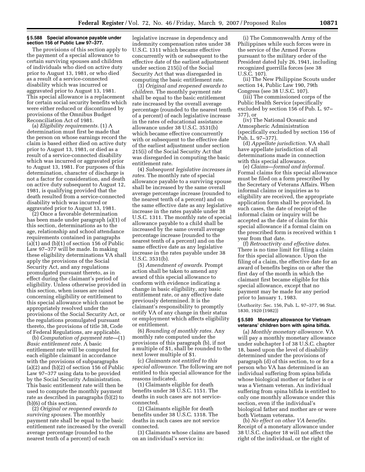## **§ 5.588 Special allowance payable under section 156 of Public Law 97–377.**

The provisions of this section apply to the payment of a special allowance to certain surviving spouses and children of individuals who died on active duty prior to August 13, 1981, or who died as a result of a service-connected disability which was incurred or aggravated prior to August 13, 1981. This special allowance is a replacement for certain social security benefits which were either reduced or discontinued by provisions of the Omnibus Budget Reconciliation Act of 1981.

(a) *Eligibility requirements.* (1) A determination must first be made that the person on whose earnings record the claim is based either died on active duty prior to August 13, 1981, or died as a result of a service-connected disability which was incurred or aggravated prior to August 13, 1981. For purposes of this determination, character of discharge is not a factor for consideration, and death on active duty subsequent to August 12, 1981, is qualifying provided that the death resulted from a service-connected disability which was incurred or aggravated prior to August 13, 1981.

(2) Once a favorable determination has been made under paragraph (a)(1) of this section, determinations as to the age, relationship and school attendance requirements contained in paragraphs  $(a)(1)$  and  $(b)(1)$  of section 156 of Public Law 97–377 will be made. In making these eligibility determinations VA shall apply the provisions of the Social Security Act, and any regulations promulgated pursuant thereto, as in effect during the claimant's period of eligibility. Unless otherwise provided in this section, when issues are raised concerning eligibility or entitlement to this special allowance which cannot be appropriately resolved under the provisions of the Social Security Act, or the regulations promulgated pursuant thereto, the provisions of title 38, Code of Federal Regulations, are applicable.

(b) *Computation of payment rate—*(1) *Basic entitlement rate.* A basic entitlement rate will be computed for each eligible claimant in accordance with the provisions of subparagraphs (a)(2) and (b)(2) of section 156 of Public Law 97–377 using data to be provided by the Social Security Administration. This basic entitlement rate will then be used to compute the monthly payment rate as described in paragraphs (b)(2) to (b)(6) of this section.

(2) *Original or reopened awards to surviving spouses.* The monthly payment rate shall be equal to the basic entitlement rate increased by the overall average percentage (rounded to the nearest tenth of a percent) of each

legislative increase in dependency and indemnity compensation rates under 38 U.S.C. 1311 which became effective concurrently with or subsequent to the effective date of the earliest adjustment under section 215(i) of the Social Security Act that was disregarded in computing the basic entitlement rate.

(3) *Original and reopened awards to children.* The monthly payment rate shall be equal to the basic entitlement rate increased by the overall average percentage (rounded to the nearest tenth of a percent) of each legislative increase in the rates of educational assistance allowance under 38 U.S.C. 3531(b) which became effective concurrently with or subsequent to the effective date of the earliest adjustment under section 215(i) of the Social Security Act that was disregarded in computing the basic entitlement rate.

(4) *Subsequent legislative increases in rates.* The monthly rate of special allowance payable to a surviving spouse shall be increased by the same overall average percentage increase (rounded to the nearest tenth of a percent) and on the same effective date as any legislative increase in the rates payable under 38 U.S.C. 1311. The monthly rate of special allowance payable to a child shall be increased by the same overall average percentage increase (rounded to the nearest tenth of a percent) and on the same effective date as any legislative increase in the rates payable under 38 U.S.C. 3531(b).

(5) *Amendment of awards.* Prompt action shall be taken to amend any award of this special allowance to conform with evidence indicating a change in basic eligibility, any basic entitlement rate, or any effective date previously determined. It is the claimant's responsibility to promptly notify VA of any change in their status or employment which affects eligibility or entitlement.

(6) *Rounding of monthly rates.* Any monthly rate computed under the provisions of this paragraph (b), if not a multiple of \$1, shall be rounded to the next lower multiple of \$1.

(c) *Claimants not entitled to this special allowance.* The following are not entitled to this special allowance for the reasons indicated.

(1) Claimants eligible for death benefits under 38 U.S.C. 1151. The deaths in such cases are not serviceconnected.

(2) Claimants eligible for death benefits under 38 U.S.C. 1318. The deaths in such cases are not service connected.

(3) Claimants whose claims are based on an individual's service in:

(i) The Commonwealth Army of the Philippines while such forces were in the service of the Armed Forces pursuant to the military order of the President dated July 26, 1941, including recognized guerrilla forces (see 38 U.S.C. 107).

(ii) The New Philippine Scouts under section 14, Public Law 190, 79th Congress (see 38 U.S.C. 107).

(iii) The commissioned corps of the Public Health Service (specifically excluded by section 156 of Pub. L. 97– 377), or

(iv) The National Oceanic and Atmospheric Administration (specifically excluded by section 156 of Pub. L. 97–377).

(d) *Appellate jurisdiction.* VA shall have appellate jurisdiction of all determinations made in connection with this special allowance.

(e) *Claims—formal and informal.*  Formal claims for this special allowance must be filed on a form prescribed by the Secretary of Veterans Affairs. When informal claims or inquiries as to eligibility are received, the appropriate application form shall be provided. In such cases, the date of receipt of the informal claim or inquiry will be accepted as the date of claim for this special allowance if a formal claim on the prescribed form is received within 1 year from that date.

(f) *Retroactivity and effective dates.*  There is no time limit for filing a claim for this special allowance. Upon the filing of a claim, the effective date for an award of benefits begins on or after the first day of the month in which the claimant first became eligible for this special allowance, except that no payment may be made for any period prior to January 1, 1983.

(Authority: Sec. 156, Pub. L. 97–377, 96 Stat. 1830, 1920 (1982))

## **§ 5.589 Monetary allowance for Vietnam veterans' children born with spina bifida.**

(a) *Monthly monetary allowance.* VA will pay a monthly monetary allowance under subchapter I of 38 U.S.C. chapter 18, based upon the level of disability determined under the provisions of paragraph (d) of this section, to or for a person who VA has determined is an individual suffering from spina bifida whose biological mother or father is or was a Vietnam veteran. An individual suffering from spina bifida is entitled to only one monthly allowance under this section, even if the individual's biological father and mother are or were both Vietnam veterans.

(b) *No effect on other VA benefits.*  Receipt of a monetary allowance under 38 U.S.C. chapter 18 will not affect the right of the individual, or the right of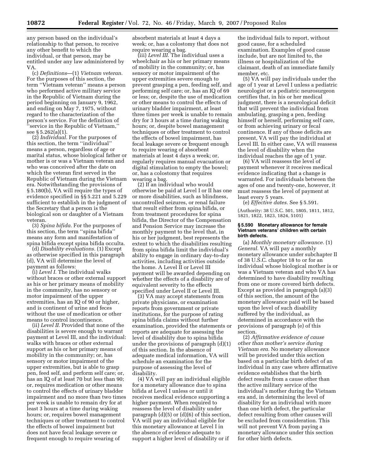any person based on the individual's relationship to that person, to receive any other benefit to which the individual, or that person, may be entitled under any law administered by VA.

(c) *Definitions*—(1) *Vietnam veteran.*  For the purposes of this section, the term ''Vietnam veteran'' means a person who performed active military service in the Republic of Vietnam during the period beginning on January 9, 1962, and ending on May 7, 1975, without regard to the characterization of the person's service. For the definition of 'service in the Republic of Vietnam," see § 5.262(a)(1).

(2) *Individual.* For the purposes of this section, the term ''individual'' means a person, regardless of age or marital status, whose biological father or mother is or was a Vietnam veteran and who was conceived after the date on which the veteran first served in the Republic of Vietnam during the Vietnam era. Notwithstanding the provisions of § 5.180(b), VA will require the types of evidence specified in §§ 5.221 and 5.229 sufficient to establish in the judgment of the Secretary that a person is the biological son or daughter of a Vietnam veteran.

(3) *Spina bifida.* For the purposes of this section, the term ''spina bifida'' means any form and manifestation of spina bifida except spina bifida occulta.

(d) *Disability evaluations.* (1) Except as otherwise specified in this paragraph (d), VA will determine the level of payment as follows:

(i) *Level I.* The individual walks without braces or other external support as his or her primary means of mobility in the community, has no sensory or motor impairment of the upper extremities, has an IQ of 90 or higher, and is continent of urine and feces without the use of medication or other means to control incontinence.

(ii) *Level II.* Provided that none of the disabilities is severe enough to warrant payment at Level III, and the individual: walks with braces or other external support as his or her primary means of mobility in the community; or, has sensory or motor impairment of the upper extremities, but is able to grasp pen, feed self, and perform self care; or, has an IQ of at least 70 but less than 90; or, requires medication or other means to control the effects of urinary bladder impairment and no more than two times per week is unable to remain dry for at least 3 hours at a time during waking hours; or, requires bowel management techniques or other treatment to control the effects of bowel impairment but does not have fecal leakage severe or frequent enough to require wearing of

absorbent materials at least 4 days a week; or, has a colostomy that does not require wearing a bag.

(iii) *Level III.* The individual uses a wheelchair as his or her primary means of mobility in the community; or, has sensory or motor impairment of the upper extremities severe enough to prevent grasping a pen, feeding self, and performing self care; or, has an IQ of 69 or less; or, despite the use of medication or other means to control the effects of urinary bladder impairment, at least three times per week is unable to remain dry for 3 hours at a time during waking hours; or, despite bowel management techniques or other treatment to control the effects of bowel impairment, has fecal leakage severe or frequent enough to require wearing of absorbent materials at least 4 days a week; or, regularly requires manual evacuation or digital stimulation to empty the bowel; or, has a colostomy that requires wearing a bag.

(2) If an individual who would otherwise be paid at Level I or II has one or more disabilities, such as blindness, uncontrolled seizures, or renal failure that result either from spina bifida, or from treatment procedures for spina bifida, the Director of the Compensation and Pension Service may increase the monthly payment to the level that, in his or her judgment, best represents the extent to which the disabilities resulting from spina bifida limit the individual's ability to engage in ordinary day-to-day activities, including activities outside the home. A Level II or Level III payment will be awarded depending on whether the effects of a disability are of equivalent severity to the effects specified under Level II or Level III.

(3) VA may accept statements from private physicians, or examination reports from government or private institutions, for the purpose of rating spina bifida claims without further examination, provided the statements or reports are adequate for assessing the level of disability due to spina bifida under the provisions of paragraph (d)(1) of this section. In the absence of adequate medical information, VA will schedule an examination for the purpose of assessing the level of disability.

(4) VA will pay an individual eligible for a monetary allowance due to spina bifida at Level I unless or until it receives medical evidence supporting a higher payment. When required to reassess the level of disability under paragraph (d)(5) or (d)(6) of this section, VA will pay an individual eligible for this monetary allowance at Level I in the absence of evidence adequate to support a higher level of disability or if

the individual fails to report, without good cause, for a scheduled examination. Examples of good cause include, but are not limited to, the illness or hospitalization of the claimant, death of an immediate family member, etc.

(5) VA will pay individuals under the age of 1 year at Level I unless a pediatric neurologist or a pediatric neurosurgeon certifies that, in his or her medical judgment, there is a neurological deficit that will prevent the individual from ambulating, grasping a pen, feeding himself or herself, performing self care, or from achieving urinary or fecal continence. If any of those deficits are present, VA will pay the individual at Level III. In either case, VA will reassess the level of disability when the individual reaches the age of 1 year.

(6) VA will reassess the level of payment whenever it receives medical evidence indicating that a change is warranted. For individuals between the ages of one and twenty-one, however, it must reassess the level of payment at least every 5 years.

(e) *Effective dates.* See § 5.591. (Authority: 38 U.S.C. 501, 1805, 1811, 1812, 1821, 1822, 1823, 1824, 5101)

### **§ 5.590 Monetary allowance for female Vietnam veterans' children with certain birth defects.**

(a) *Monthly monetary allowance.* (1) *General.* VA will pay a monthly monetary allowance under subchapter II of 38 U.S.C. chapter 18 to or for an individual whose biological mother is or was a Vietnam veteran and who VA has determined to have disability resulting from one or more covered birth defects. Except as provided in paragraph (a)(3) of this section, the amount of the monetary allowance paid will be based upon the level of such disability suffered by the individual, as determined in accordance with the provisions of paragraph (e) of this section.

(2) *Affirmative evidence of cause other than mother's service during Vietnam era.* No monetary allowance will be provided under this section based on a particular birth defect of an individual in any case where affirmative evidence establishes that the birth defect results from a cause other than the active military service of the individual's mother during the Vietnam era and, in determining the level of disability for an individual with more than one birth defect, the particular defect resulting from other causes will be excluded from consideration. This will not prevent VA from paying a monetary allowance under this section for other birth defects.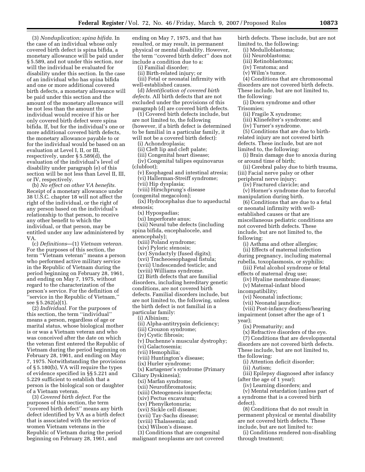(3) *Nonduplication; spina bifida.* In the case of an individual whose only covered birth defect is spina bifida, a monetary allowance will be paid under § 5.589, and not under this section, nor will the individual be evaluated for disability under this section. In the case of an individual who has spina bifida and one or more additional covered birth defects, a monetary allowance will be paid under this section and the amount of the monetary allowance will be not less than the amount the individual would receive if his or her only covered birth defect were spina bifida. If, but for the individual's one or more additional covered birth defects, the monetary allowance payable to or for the individual would be based on an evaluation at Level I, II, or III, respectively, under § 5.589(d), the evaluation of the individual's level of disability under paragraph (e) of this section will be not less than Level II, III, or IV, respectively.

(b) *No effect on other VA benefits.*  Receipt of a monetary allowance under 38 U.S.C. chapter 18 will not affect the right of the individual, or the right of any person based on the individual's relationship to that person, to receive any other benefit to which the individual, or that person, may be entitled under any law administered by VA.

(c) *Definitions*—(1) *Vietnam veteran.*  For the purposes of this section, the term ''Vietnam veteran'' means a person who performed active military service in the Republic of Vietnam during the period beginning on February 28, 1961, and ending on May 7, 1975, without regard to the characterization of the person's service. For the definition of ''service in the Republic of Vietnam,'' see § 5.262(a)(1).

(2) *Individual.* For the purposes of this section, the term ''individual'' means a person, regardless of age or marital status, whose biological mother is or was a Vietnam veteran and who was conceived after the date on which the veteran first entered the Republic of Vietnam during the period beginning on February 28, 1961, and ending on May 7, 1975. Notwithstanding the provisions of § 5.180(b), VA will require the types of evidence specified in §§ 5.221 and 5.229 sufficient to establish that a person is the biological son or daughter of a Vietnam veteran.

(3) *Covered birth defect.* For the purposes of this section, the term 'covered birth defect" means any birth defect identified by VA as a birth defect that is associated with the service of women Vietnam veterans in the Republic of Vietnam during the period beginning on February 28, 1961, and

ending on May 7, 1975, and that has resulted, or may result, in permanent physical or mental disability. However, the term ''covered birth defect'' does not include a condition due to a:

(i) Familial disorder;

(ii) Birth-related injury; or

(iii) Fetal or neonatal infirmity with well-established causes.

(d) *Identification of covered birth defects.* All birth defects that are not excluded under the provisions of this paragraph (d) are covered birth defects.

(1) Covered birth defects include, but are not limited to, the following (however, if a birth defect is determined to be familial in a particular family, it will not be a covered birth defect):

(i) Achondroplasia;

(ii) Cleft lip and cleft palate;

(iii) Congenital heart disease;

(iv) Congenital talipes equinovarus (clubfoot);

(v) Esophageal and intestinal atresia; (vi) Hallerman-Streiff syndrome;

(vii) Hip dysplasia;

(viii) Hirschprung's disease

(congenital megacolon);

(ix) Hydrocephalus due to aqueductal stenosis;

(x) Hypospadias;

(xi) Imperforate anus;

(xii) Neural tube defects (including spina bifida, encephalocele, and

anencephaly);

(xiii) Poland syndrome;

- (xiv) Pyloric stenosis;
- (xv) Syndactyly (fused digits);

(xvi) Tracheoesophageal fistula;

(xvii) Undescended testicle; and

(xviii) Williams syndrome.

(2) Birth defects that are familial disorders, including hereditary genetic conditions, are not covered birth defects. Familial disorders include, but are not limited to, the following, unless the birth defect is not familial in a particular family:

(i) Albinism;

(ii) Alpha-antitrypsin deficiency;

(iii) Crouzon syndrome;

(iv) Cystic fibrosis;

(v) Duchenne's muscular dystrophy;

(vi) Galactosemia;

(vii) Hemophilia;

(viii) Huntington's disease;

(ix) Hurler syndrome;

(x) Kartagener's syndrome (Primary Ciliary Dyskinesia);

(xi) Marfan syndrome;

(xii) Neurofibromatosis;

(xiii) Osteogenesis imperfecta;

(xiv) Pectus excavatum;

(xv) Phenylketonuria;

(xvi) Sickle cell disease;

(xvii) Tay-Sachs disease;

(xviii) Thalassemia; and

(xix) Wilson's disease.

(3) Conditions that are congenital malignant neoplasms are not covered birth defects. These include, but are not limited to, the following:

- (i) Medulloblastoma;
- (ii) Neuroblastoma;
- (iii) Retinoblastoma;
- (iv) Teratoma; and
- (v) Wilm's tumor.

(4) Conditions that are chromosomal disorders are not covered birth defects. These include, but are not limited to, the following:

(i) Down syndrome and other Trisomies;

(ii) Fragile X syndrome;

(iii) Klinefelter's syndrome; and

(iv) Turner's syndrome.

(5) Conditions that are due to birthrelated injury are not covered birth defects. These include, but are not limited to, the following:

(i) Brain damage due to anoxia during or around time of birth;

(ii) Cerebral palsy due to birth trauma, (iii) Facial nerve palsy or other peripheral nerve injury;

(iv) Fractured clavicle; and

(v) Horner's syndrome due to forceful manipulation during birth.

(6) Conditions that are due to a fetal or neonatal infirmity with wellestablished causes or that are miscellaneous pediatric conditions are not covered birth defects. These include, but are not limited to, the following:

(i) Asthma and other allergies;

(ii) Effects of maternal infection during pregnancy, including maternal rubella, toxoplasmosis, or syphilis;

(iii) Fetal alcohol syndrome or fetal effects of maternal drug use;

(iv) Hyaline membrane disease;

(v) Maternal-infant blood incompatibility;

(vi) Neonatal infections;

(vii) Neonatal jaundice;

(viii) Post-infancy deafness/hearing impairment (onset after the age of 1 year);

(ix) Prematurity; and (x) Refractive disorders of the eye.

(7) Conditions that are developmental disorders are not covered birth defects. These include, but are not limited to, the following:

(i) Attention deficit disorder;

(ii) Autism;

(iii) Epilepsy diagnosed after infancy (after the age of 1 year);

(iv) Learning disorders; and

(v) Mental retardation (unless part of a syndrome that is a covered birth defect).

(8) Conditions that do not result in permanent physical or mental disability are not covered birth defects. These include, but are not limited to:

(i) Conditions rendered non-disabling through treatment;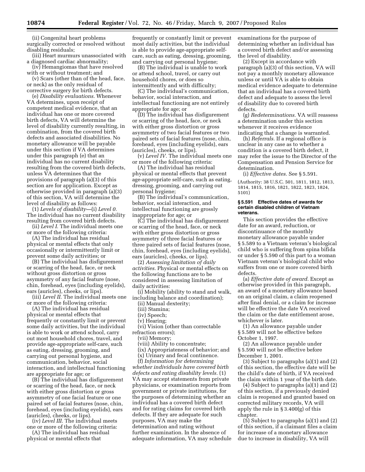(ii) Congenital heart problems surgically corrected or resolved without disabling residuals;

(iii) Heart murmurs unassociated with a diagnosed cardiac abnormality;

(iv) Hemangiomas that have resolved with or without treatment; and

(v) Scars (other than of the head, face, or neck) as the only residual of corrective surgery for birth defects.

(e) *Disability evaluations.* Whenever VA determines, upon receipt of competent medical evidence, that an individual has one or more covered birth defects, VA will determine the level of disability currently resulting, in combination, from the covered birth defects and associated disabilities. No monetary allowance will be payable under this section if VA determines under this paragraph (e) that an individual has no current disability resulting from the covered birth defects, unless VA determines that the provisions of paragraph (a)(3) of this section are for application. Except as otherwise provided in paragraph (a)(3) of this section, VA will determine the level of disability as follows:

(1) *Levels of disability—*(i) *Level 0.*  The individual has no current disability resulting from covered birth defects.

(ii) *Level I.* The individual meets one or more of the following criteria:

(A) The individual has residual physical or mental effects that only occasionally or intermittently limit or prevent some daily activities; or

(B) The individual has disfigurement or scarring of the head, face, or neck without gross distortion or gross asymmetry of any facial feature (nose, chin, forehead, eyes (including eyelids), ears (auricles), cheeks, or lips).

(iii) *Level II.* The individual meets one or more of the following criteria:

(A) The individual has residual physical or mental effects that frequently or constantly limit or prevent some daily activities, but the individual is able to work or attend school, carry out most household chores, travel, and provide age-appropriate self-care, such as eating, dressing, grooming, and carrying out personal hygiene, and communication, behavior, social interaction, and intellectual functioning are appropriate for age; or

(B) The individual has disfigurement or scarring of the head, face, or neck with either gross distortion or gross asymmetry of one facial feature or one paired set of facial features (nose, chin, forehead, eyes (including eyelids), ears (auricles), cheeks, or lips).

(iv) *Level III.* The individual meets one or more of the following criteria:

(A) The individual has residual physical or mental effects that

frequently or constantly limit or prevent most daily activities, but the individual is able to provide age-appropriate selfcare, such as eating, dressing, grooming, and carrying out personal hygiene;

(B) The individual is unable to work or attend school, travel, or carry out household chores, or does so intermittently and with difficulty;

(C) The individual's communication, behavior, social interaction, and intellectual functioning are not entirely appropriate for age; or

(D) The individual has disfigurement or scarring of the head, face, or neck with either gross distortion or gross asymmetry of two facial features or two paired sets of facial features (nose, chin, forehead, eyes (including eyelids), ears (auricles), cheeks, or lips).

(v) *Level IV.* The individual meets one or more of the following criteria:

(A) The individual has residual physical or mental effects that prevent age-appropriate self-care, such as eating, dressing, grooming, and carrying out personal hygiene;

(B) The individual's communication, behavior, social interaction, and intellectual functioning are grossly inappropriate for age; or

(C) The individual has disfigurement or scarring of the head, face, or neck with either gross distortion or gross asymmetry of three facial features or three paired sets of facial features (nose, chin, forehead, eyes (including eyelids), ears (auricles), cheeks, or lips).

(2) *Assessing limitation of daily activities.* Physical or mental effects on the following functions are to be considered in assessing limitation of daily activities:

(i) Mobility (ability to stand and walk, including balance and coordination);

(ii) Manual dexterity;

(iii) Stamina;

(iv) Speech;

(v) Hearing;

(vi) Vision (other than correctable refraction errors);

(vii) Memory;

(viii) Ability to concentrate;

(ix) Appropriateness of behavior; and

(x) Urinary and fecal continence.

(f) *Information for determining whether individuals have covered birth defects and rating disability levels.* (1) VA may accept statements from private physicians, or examination reports from government or private institutions, for the purposes of determining whether an individual has a covered birth defect and for rating claims for covered birth defects. If they are adequate for such purposes, VA may make the determination and rating without further examination. In the absence of adequate information, VA may schedule examinations for the purpose of determining whether an individual has a covered birth defect and/or assessing the level of disability.

(2) Except in accordance with paragraph (a)(3) of this section, VA will not pay a monthly monetary allowance unless or until VA is able to obtain medical evidence adequate to determine that an individual has a covered birth defect and adequate to assess the level of disability due to covered birth defects.

(g) *Redeterminations.* VA will reassess a determination under this section whenever it receives evidence indicating that a change is warranted.

(h) *Referrals.* If a regional office is unclear in any case as to whether a condition is a covered birth defect, it may refer the issue to the Director of the Compensation and Pension Service for determination.

(i) *Effective dates.* See § 5.591.

(Authority: 38 U.S.C. 501, 1811, 1812, 1813, 1814, 1815, 1816, 1821, 1822, 1823, 1824, 5101)

#### **§ 5.591 Effective dates of awards for certain disabled children of Vietnam veterans.**

This section provides the effective date for an award, reduction, or discontinuance of the monthly monetary allowance payable under § 5.589 to a Vietnam veteran's biological child who is suffering from spina bifida or under § 5.590 of this part to a woman Vietnam veteran's biological child who suffers from one or more covered birth defects.

(a) *Effective date of award.* Except as otherwise provided in this paragraph, an award of a monetary allowance based on an original claim, a claim reopened after final denial, or a claim for increase will be effective the date VA received the claim or the date entitlement arose, whichever is later.

(1) An allowance payable under § 5.589 will not be effective before October 1, 1997.

(2) An allowance payable under § 5.590 will not be effective before December 1, 2001.

(3) Subject to paragraphs (a)(1) and (2) of this section, the effective date will be the child's date of birth, if VA received the claim within 1 year of the birth date.

(4) Subject to paragraphs (a)(1) and (2) of this section, if a previously denied claim is reopened and granted based on corrected military records, VA will apply the rule in § 3.400(g) of this chapter.

(5) Subject to paragraphs (a)(1) and (2) of this section, if a claimant files a claim for increase of a monetary allowance due to increase in disability, VA will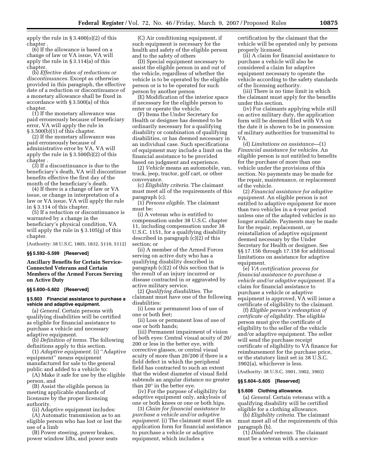apply the rule in § 3.400(o)(2) of this chapter .

(6) If the allowance is based on a change of law or VA issue, VA will apply the rule in § 3.114(a) of this chapter.

(b) *Effective dates of reductions or discontinuances.* Except as otherwise provided in this paragraph, the effective date of a reduction or discontinuance of a monetary allowance shall be fixed in accordance with § 3.500(a) of this chapter.

(1) If the monetary allowance was paid erroneously because of beneficiary error, VA will apply the rule in § 3.500(b)(1) of this chapter.

(2) If the monetary allowance was paid erroneously because of administrative error by VA, VA will apply the rule in § 3.500(b)(2) of this chapter .

(3) If a discontinuance is due to the beneficiary's death, VA will discontinue benefits effective the first day of the month of the beneficiary's death.

(4) If there is a change of law or VA issue, or change in interpretation of a law or VA issue, VA will apply the rule in § 3.114 of this chapter.

(5) If a reduction or discontinuance is warranted by a change in the beneficiary's physical condition, VA will apply the rule in § 3.105(g) of this chapter.

(Authority: 38 U.S.C. 1805, 1832, 5110, 5112)

## **§§ 5.592–5.599 [Reserved]**

**Ancillary Benefits for Certain Service-Connected Veterans and Certain Members of the Armed Forces Serving on Active Duty** 

## **§§ 5.600–5.602 [Reserved]**

## **§ 5.603 Financial assistance to purchase a vehicle and adaptive equipment.**

(a) *General.* Certain persons with qualifying disabilities will be certified as eligible for financial assistance to purchase a vehicle and necessary adaptive equipment.

(b) *Definition of terms.* The following definitions apply to this section.

(1) *Adaptive equipment.* (i) ''Adaptive equipment'' means equipment manufactured for sale to the general public and added to a vehicle to:

(A) Make it safe for use by the eligible person, and

(B) Assist the eligible person in meeting applicable standards of licensure by the proper licensing authority.

(ii) Adaptive equipment includes:

(A) Automatic transmission as to an eligible person who has lost or lost the use of a limb

(B) Power steering, power brakes, power window lifts, and power seats

(C) Air conditioning equipment, if such equipment is necessary for the health and safety of the eligible person and to the safety of others

(D) Special equipment necessary to assist the eligible person in and out of the vehicle, regardless of whether the vehicle is to be operated by the eligible person or is to be operated for such person by another person

(E) Modification of the interior space if necessary for the eligible person to enter or operate the vehicle.

(F) Items the Under Secretary for Health or designee has deemed to be ordinarily necessary for a qualifying disability or combination of qualifying disabilities, or has deemed necessary in an individual case. Such specifications of equipment may include a limit on the financial assistance to be provided based on judgment and experience.

(2) *Vehicle* means an automobile, van, truck, jeep, tractor, golf cart, or other conveyance.

(c) *Eligibility criteria.* The claimant must meet all of the requirements of this paragraph (c).

(1) *Persons eligible.* The claimant must be:

(i) A veteran who is entitled to compensation under 38 U.S.C. chapter 11, including compensation under 38 U.S.C. 1151, for a qualifying disability described in paragraph (c)(2) of this section; or

(ii) A member of the Armed Forces serving on active duty who has a qualifying disability described in paragraph (c)(2) of this section that is the result of an injury incurred or disease contracted in or aggravated by active military service.

(2) *Qualifying disabilities.* The claimant must have one of the following disabilities:

(i) Loss or permanent loss of use of one or both feet;

(ii) Loss or permanent loss of use of one or both hands;

(iii) Permanent impairment of vision of both eyes: Central visual acuity of 20/ 200 or less in the better eye, with corrective glasses, or central visual acuity of more than 20/200 if there is a field defect in which the peripheral field has contracted to such an extent that the widest diameter of visual field subtends an angular distance no greater than 20° in the better eye.

(iv) For the purpose of eligibility for adaptive equipment only, ankylosis of one or both knees or one or both hips.

(3) *Claim for financial assistance to purchase a vehicle and/or adaptive equipment.* (i) The claimant must file an application form for financial assistance to purchase a vehicle or adaptive equipment, which includes a

certification by the claimant that the vehicle will be operated only by persons properly licensed.

(ii) A claim for financial assistance to purchase a vehicle will also be considered a claim for adaptive equipment necessary to operate the vehicle according to the safety standards of the licensing authority.

(iii) There is no time limit in which the claimant must apply for the benefits under this section.

(iv) For claimants applying while still on active military duty, the application form will be deemed filed with VA on the date it is shown to be in possession of military authorities for transmittal to VA.

(d) *Limitations on assistance—*(1) *Financial assistance for vehicles.* An eligible person is not entitled to benefits for the purchase of more than one vehicle under the provisions of this section. No payments may be made for the repair, maintenance, or replacement of the vehicle.

(2) *Financial assistance for adaptive equipment.* An eligible person is not entitled to adaptive equipment for more than two vehicles in a 4-year period unless one of the adapted vehicles is no longer available. Payments may be made for the repair, replacement, or reinstallation of adaptive equipment deemed necessary by the Under Secretary for Health or designee. See §§ 17.156 through 17.158 for additional limitations on assistance for adaptive equipment.

(e) *VA certification process for financial assistance to purchase a vehicle and/or adaptive equipment.* If a claim for financial assistance to purchase a vehicle or adaptive equipment is approved, VA will issue a certificate of eligibility to the claimant.

(f) *Eligible person's redemption of certificate of eligibility.* The eligible person must give the certificate of eligibility to the seller of the vehicle and/or adaptive equipment. The seller will send the purchase receipt certificate of eligibility to VA finance for reimbursement for the purchase price, or the statutory limit set in 38 U.S.C. 3902(a), whichever is less.

(Authority: 38 U.S.C. 3901, 3902, 3903)

## **§§ 5.604–5.605 [Reserved]**

#### **§ 5.606 Clothing allowance.**

(a) *General.* Certain veterans with a qualifying disability will be certified eligible for a clothing allowance.

(b) *Eligibility criteria.* The claimant must meet all of the requirements of this paragraph (b).

(1) *Disabled veteran.* The claimant must be a veteran with a service